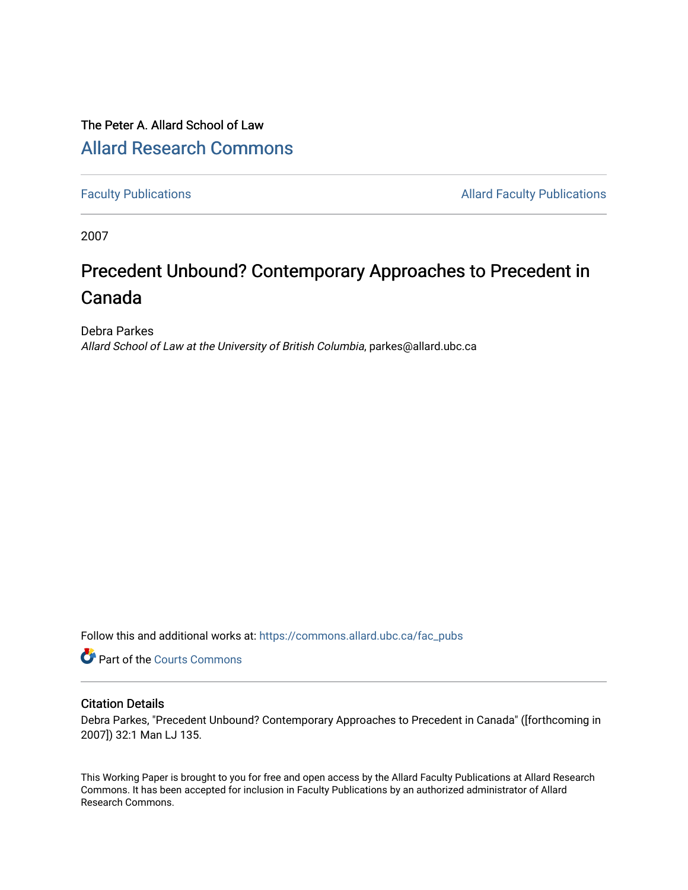# The Peter A. Allard School of Law [Allard Research Commons](https://commons.allard.ubc.ca/)

[Faculty Publications](https://commons.allard.ubc.ca/fac_pubs) **Allard Faculty Publications Allard Faculty Publications** 

2007

# Precedent Unbound? Contemporary Approaches to Precedent in Canada

Debra Parkes Allard School of Law at the University of British Columbia, parkes@allard.ubc.ca

Follow this and additional works at: [https://commons.allard.ubc.ca/fac\\_pubs](https://commons.allard.ubc.ca/fac_pubs?utm_source=commons.allard.ubc.ca%2Ffac_pubs%2F233&utm_medium=PDF&utm_campaign=PDFCoverPages)

Part of the [Courts Commons](http://network.bepress.com/hgg/discipline/839?utm_source=commons.allard.ubc.ca%2Ffac_pubs%2F233&utm_medium=PDF&utm_campaign=PDFCoverPages) 

#### Citation Details

Debra Parkes, "Precedent Unbound? Contemporary Approaches to Precedent in Canada" ([forthcoming in 2007]) 32:1 Man LJ 135.

This Working Paper is brought to you for free and open access by the Allard Faculty Publications at Allard Research Commons. It has been accepted for inclusion in Faculty Publications by an authorized administrator of Allard Research Commons.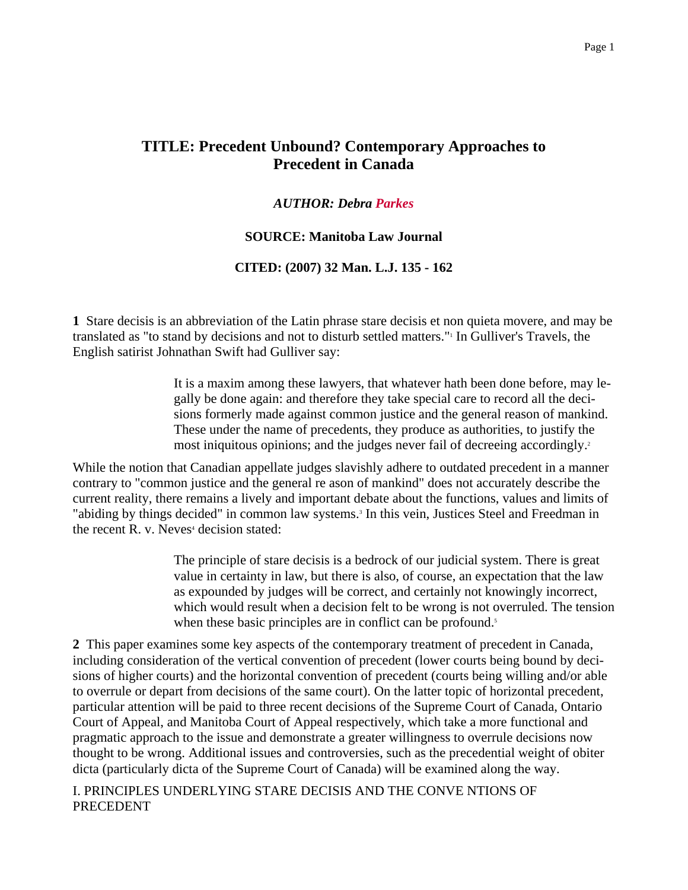# **TITLE: Precedent Unbound? Contemporary Approaches to Precedent in Canada**

#### *AUTHOR: Debra Parkes*

#### **SOURCE: Manitoba Law Journal**

#### **CITED: (2007) 32 Man. L.J. 135 - 162**

**1** Stare decisis is an abbreviation of the Latin phrase stare decisis et non quieta movere, and may be translated as "to stand by decisions and not to disturb settled matters."<sup>1</sup> In Gulliver's Travels, the English satirist Johnathan Swift had Gulliver say:

> It is a maxim among these lawyers, that whatever hath been done before, may legally be done again: and therefore they take special care to record all the decisions formerly made against common justice and the general reason of mankind. These under the name of precedents, they produce as authorities, to justify the most iniquitous opinions; and the judges never fail of decreeing accordingly.<sup>2</sup>

While the notion that Canadian appellate judges slavishly adhere to outdated precedent in a manner contrary to "common justice and the general re ason of mankind" does not accurately describe the current reality, there remains a lively and important debate about the functions, values and limits of "abiding by things decided" in common law systems.<sup>3</sup> In this vein, Justices Steel and Freedman in the recent R. v. Neves<sup>4</sup> decision stated:

> The principle of stare decisis is a bedrock of our judicial system. There is great value in certainty in law, but there is also, of course, an expectation that the law as expounded by judges will be correct, and certainly not knowingly incorrect, which would result when a decision felt to be wrong is not overruled. The tension when these basic principles are in conflict can be profound.<sup>5</sup>

**2** This paper examines some key aspects of the contemporary treatment of precedent in Canada, including consideration of the vertical convention of precedent (lower courts being bound by decisions of higher courts) and the horizontal convention of precedent (courts being willing and/or able to overrule or depart from decisions of the same court). On the latter topic of horizontal precedent, particular attention will be paid to three recent decisions of the Supreme Court of Canada, Ontario Court of Appeal, and Manitoba Court of Appeal respectively, which take a more functional and pragmatic approach to the issue and demonstrate a greater willingness to overrule decisions now thought to be wrong. Additional issues and controversies, such as the precedential weight of obiter dicta (particularly dicta of the Supreme Court of Canada) will be examined along the way.

I. PRINCIPLES UNDERLYING STARE DECISIS AND THE CONVE NTIONS OF PRECEDENT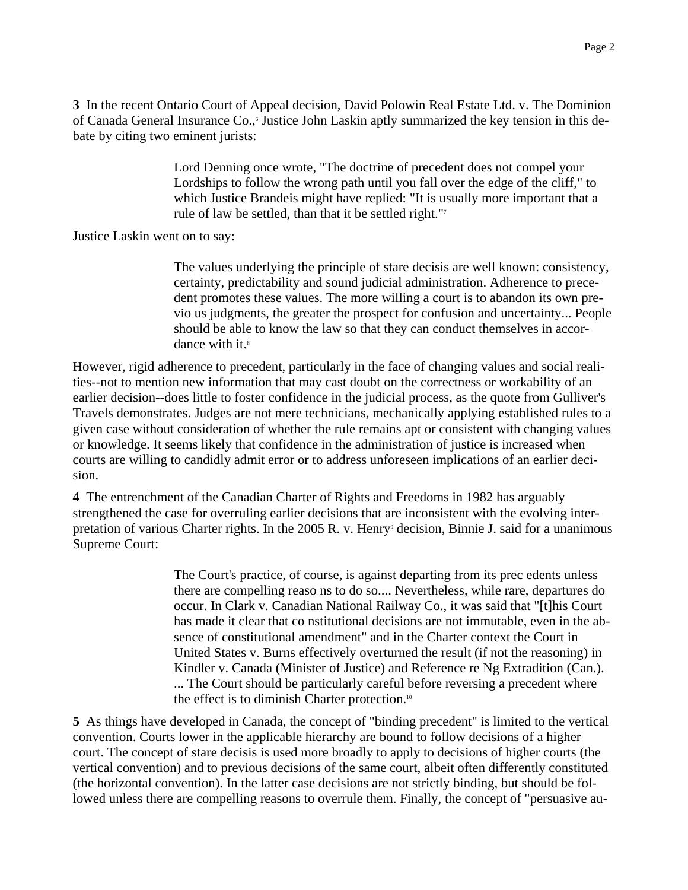**3** In the recent Ontario Court of Appeal decision, David Polowin Real Estate Ltd. v. The Dominion of Canada General Insurance Co., Justice John Laskin aptly summarized the key tension in this debate by citing two eminent jurists:

> Lord Denning once wrote, "The doctrine of precedent does not compel your Lordships to follow the wrong path until you fall over the edge of the cliff," to which Justice Brandeis might have replied: "It is usually more important that a rule of law be settled, than that it be settled right."7

Justice Laskin went on to say:

The values underlying the principle of stare decisis are well known: consistency, certainty, predictability and sound judicial administration. Adherence to precedent promotes these values. The more willing a court is to abandon its own previo us judgments, the greater the prospect for confusion and uncertainty... People should be able to know the law so that they can conduct themselves in accordance with it.<sup>8</sup>

However, rigid adherence to precedent, particularly in the face of changing values and social realities--not to mention new information that may cast doubt on the correctness or workability of an earlier decision--does little to foster confidence in the judicial process, as the quote from Gulliver's Travels demonstrates. Judges are not mere technicians, mechanically applying established rules to a given case without consideration of whether the rule remains apt or consistent with changing values or knowledge. It seems likely that confidence in the administration of justice is increased when courts are willing to candidly admit error or to address unforeseen implications of an earlier decision.

**4** The entrenchment of the Canadian Charter of Rights and Freedoms in 1982 has arguably strengthened the case for overruling earlier decisions that are inconsistent with the evolving interpretation of various Charter rights. In the 2005 R. v. Henry<sup>9</sup> decision, Binnie J. said for a unanimous Supreme Court:

> The Court's practice, of course, is against departing from its prec edents unless there are compelling reaso ns to do so.... Nevertheless, while rare, departures do occur. In Clark v. Canadian National Railway Co., it was said that "[t]his Court has made it clear that co nstitutional decisions are not immutable, even in the absence of constitutional amendment" and in the Charter context the Court in United States v. Burns effectively overturned the result (if not the reasoning) in Kindler v. Canada (Minister of Justice) and Reference re Ng Extradition (Can.). ... The Court should be particularly careful before reversing a precedent where the effect is to diminish Charter protection.<sup>10</sup>

**5** As things have developed in Canada, the concept of "binding precedent" is limited to the vertical convention. Courts lower in the applicable hierarchy are bound to follow decisions of a higher court. The concept of stare decisis is used more broadly to apply to decisions of higher courts (the vertical convention) and to previous decisions of the same court, albeit often differently constituted (the horizontal convention). In the latter case decisions are not strictly binding, but should be followed unless there are compelling reasons to overrule them. Finally, the concept of "persuasive au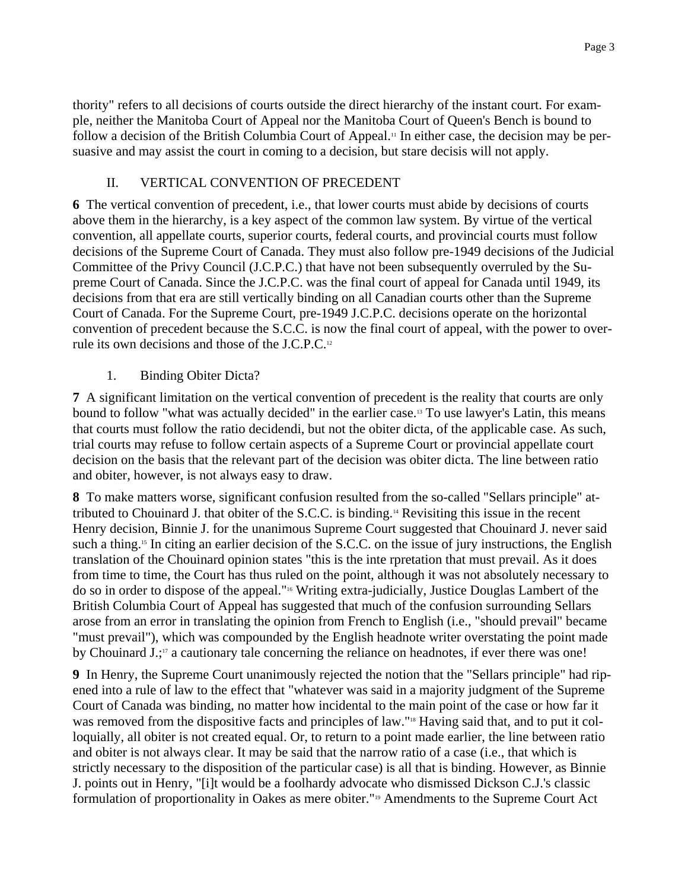thority" refers to all decisions of courts outside the direct hierarchy of the instant court. For example, neither the Manitoba Court of Appeal nor the Manitoba Court of Queen's Bench is bound to follow a decision of the British Columbia Court of Appeal.<sup>11</sup> In either case, the decision may be persuasive and may assist the court in coming to a decision, but stare decisis will not apply.

# II. VERTICAL CONVENTION OF PRECEDENT

**6** The vertical convention of precedent, i.e., that lower courts must abide by decisions of courts above them in the hierarchy, is a key aspect of the common law system. By virtue of the vertical convention, all appellate courts, superior courts, federal courts, and provincial courts must follow decisions of the Supreme Court of Canada. They must also follow pre-1949 decisions of the Judicial Committee of the Privy Council (J.C.P.C.) that have not been subsequently overruled by the Supreme Court of Canada. Since the J.C.P.C. was the final court of appeal for Canada until 1949, its decisions from that era are still vertically binding on all Canadian courts other than the Supreme Court of Canada. For the Supreme Court, pre-1949 J.C.P.C. decisions operate on the horizontal convention of precedent because the S.C.C. is now the final court of appeal, with the power to overrule its own decisions and those of the J.C.P.C.12

1. Binding Obiter Dicta?

**7** A significant limitation on the vertical convention of precedent is the reality that courts are only bound to follow "what was actually decided" in the earlier case.13 To use lawyer's Latin, this means that courts must follow the ratio decidendi, but not the obiter dicta, of the applicable case. As such, trial courts may refuse to follow certain aspects of a Supreme Court or provincial appellate court decision on the basis that the relevant part of the decision was obiter dicta. The line between ratio and obiter, however, is not always easy to draw.

**8** To make matters worse, significant confusion resulted from the so-called "Sellars principle" attributed to Chouinard J. that obiter of the S.C.C. is binding.14 Revisiting this issue in the recent Henry decision, Binnie J. for the unanimous Supreme Court suggested that Chouinard J. never said such a thing.<sup>15</sup> In citing an earlier decision of the S.C.C. on the issue of jury instructions, the English translation of the Chouinard opinion states "this is the inte rpretation that must prevail. As it does from time to time, the Court has thus ruled on the point, although it was not absolutely necessary to do so in order to dispose of the appeal."16 Writing extra-judicially, Justice Douglas Lambert of the British Columbia Court of Appeal has suggested that much of the confusion surrounding Sellars arose from an error in translating the opinion from French to English (i.e., "should prevail" became "must prevail"), which was compounded by the English headnote writer overstating the point made by Chouinard  $J$ .;<sup>17</sup> a cautionary tale concerning the reliance on headnotes, if ever there was one!

**9** In Henry, the Supreme Court unanimously rejected the notion that the "Sellars principle" had ripened into a rule of law to the effect that "whatever was said in a majority judgment of the Supreme Court of Canada was binding, no matter how incidental to the main point of the case or how far it was removed from the dispositive facts and principles of law."18 Having said that, and to put it colloquially, all obiter is not created equal. Or, to return to a point made earlier, the line between ratio and obiter is not always clear. It may be said that the narrow ratio of a case (i.e., that which is strictly necessary to the disposition of the particular case) is all that is binding. However, as Binnie J. points out in Henry, "[i]t would be a foolhardy advocate who dismissed Dickson C.J.'s classic formulation of proportionality in Oakes as mere obiter."<sup>19</sup> Amendments to the Supreme Court Act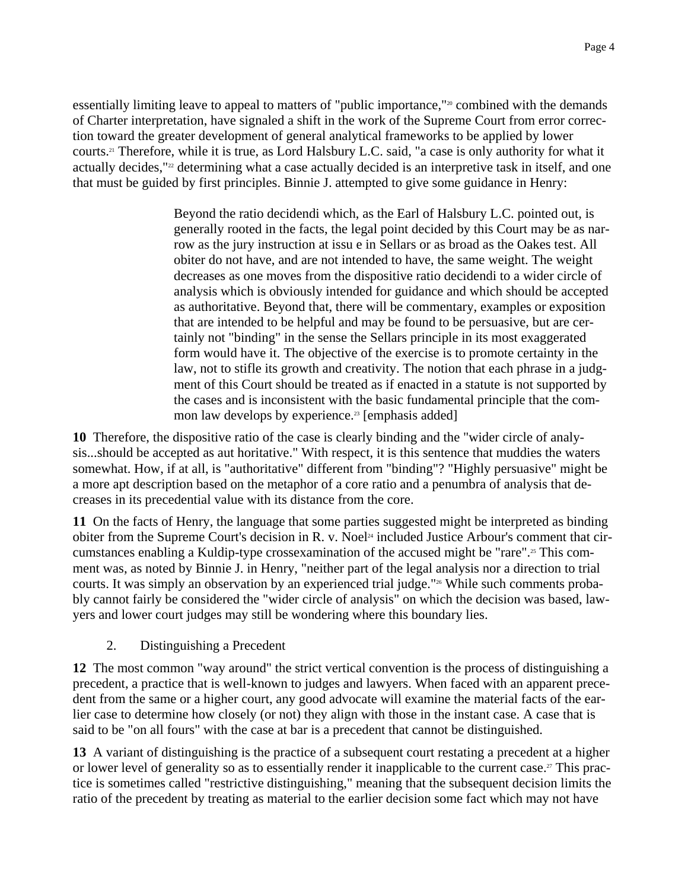essentially limiting leave to appeal to matters of "public importance,"<sup>20</sup> combined with the demands of Charter interpretation, have signaled a shift in the work of the Supreme Court from error correction toward the greater development of general analytical frameworks to be applied by lower courts.21 Therefore, while it is true, as Lord Halsbury L.C. said, "a case is only authority for what it actually decides,"<sup>22</sup> determining what a case actually decided is an interpretive task in itself, and one that must be guided by first principles. Binnie J. attempted to give some guidance in Henry:

> Beyond the ratio decidendi which, as the Earl of Halsbury L.C. pointed out, is generally rooted in the facts, the legal point decided by this Court may be as narrow as the jury instruction at issu e in Sellars or as broad as the Oakes test. All obiter do not have, and are not intended to have, the same weight. The weight decreases as one moves from the dispositive ratio decidendi to a wider circle of analysis which is obviously intended for guidance and which should be accepted as authoritative. Beyond that, there will be commentary, examples or exposition that are intended to be helpful and may be found to be persuasive, but are certainly not "binding" in the sense the Sellars principle in its most exaggerated form would have it. The objective of the exercise is to promote certainty in the law, not to stifle its growth and creativity. The notion that each phrase in a judgment of this Court should be treated as if enacted in a statute is not supported by the cases and is inconsistent with the basic fundamental principle that the common law develops by experience.<sup>23</sup> [emphasis added]

**10** Therefore, the dispositive ratio of the case is clearly binding and the "wider circle of analysis...should be accepted as aut horitative." With respect, it is this sentence that muddies the waters somewhat. How, if at all, is "authoritative" different from "binding"? "Highly persuasive" might be a more apt description based on the metaphor of a core ratio and a penumbra of analysis that decreases in its precedential value with its distance from the core.

**11** On the facts of Henry, the language that some parties suggested might be interpreted as binding obiter from the Supreme Court's decision in R. v. Noel<sup>24</sup> included Justice Arbour's comment that circumstances enabling a Kuldip-type crossexamination of the accused might be "rare".25 This comment was, as noted by Binnie J. in Henry, "neither part of the legal analysis nor a direction to trial courts. It was simply an observation by an experienced trial judge."26 While such comments probably cannot fairly be considered the "wider circle of analysis" on which the decision was based, lawyers and lower court judges may still be wondering where this boundary lies.

2. Distinguishing a Precedent

**12** The most common "way around" the strict vertical convention is the process of distinguishing a precedent, a practice that is well-known to judges and lawyers. When faced with an apparent precedent from the same or a higher court, any good advocate will examine the material facts of the earlier case to determine how closely (or not) they align with those in the instant case. A case that is said to be "on all fours" with the case at bar is a precedent that cannot be distinguished.

**13** A variant of distinguishing is the practice of a subsequent court restating a precedent at a higher or lower level of generality so as to essentially render it inapplicable to the current case.<sup>27</sup> This practice is sometimes called "restrictive distinguishing," meaning that the subsequent decision limits the ratio of the precedent by treating as material to the earlier decision some fact which may not have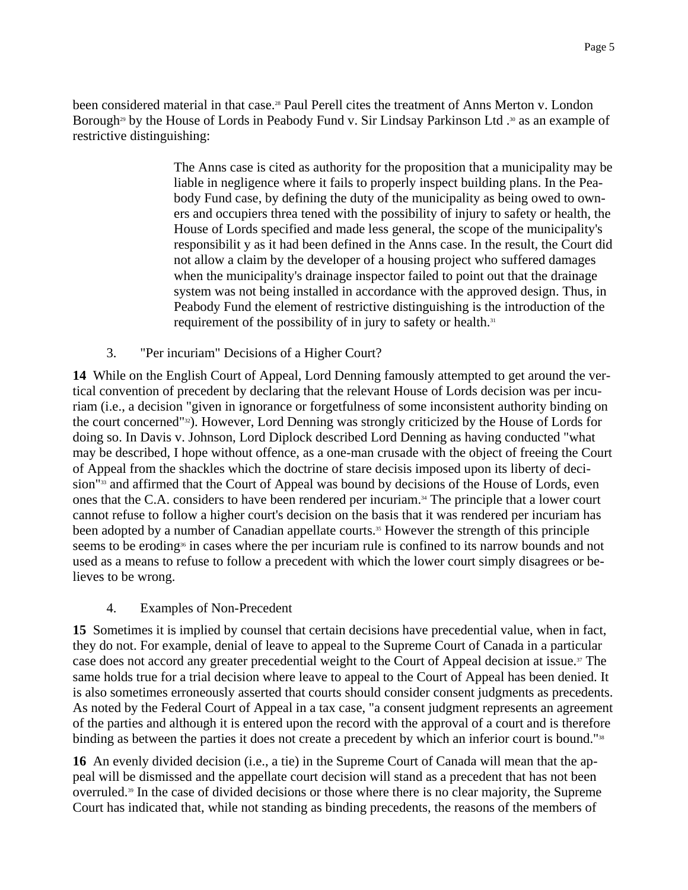been considered material in that case.<sup>28</sup> Paul Perell cites the treatment of Anns Merton v. London Borough<sup>29</sup> by the House of Lords in Peabody Fund v. Sir Lindsay Parkinson Ltd .<sup>30</sup> as an example of restrictive distinguishing:

> The Anns case is cited as authority for the proposition that a municipality may be liable in negligence where it fails to properly inspect building plans. In the Peabody Fund case, by defining the duty of the municipality as being owed to owners and occupiers threa tened with the possibility of injury to safety or health, the House of Lords specified and made less general, the scope of the municipality's responsibilit y as it had been defined in the Anns case. In the result, the Court did not allow a claim by the developer of a housing project who suffered damages when the municipality's drainage inspector failed to point out that the drainage system was not being installed in accordance with the approved design. Thus, in Peabody Fund the element of restrictive distinguishing is the introduction of the requirement of the possibility of in jury to safety or health.<sup>31</sup>

3. "Per incuriam" Decisions of a Higher Court?

**14** While on the English Court of Appeal, Lord Denning famously attempted to get around the vertical convention of precedent by declaring that the relevant House of Lords decision was per incuriam (i.e., a decision "given in ignorance or forgetfulness of some inconsistent authority binding on the court concerned"32). However, Lord Denning was strongly criticized by the House of Lords for doing so. In Davis v. Johnson, Lord Diplock described Lord Denning as having conducted "what may be described, I hope without offence, as a one-man crusade with the object of freeing the Court of Appeal from the shackles which the doctrine of stare decisis imposed upon its liberty of decision"<sup>33</sup> and affirmed that the Court of Appeal was bound by decisions of the House of Lords, even ones that the C.A. considers to have been rendered per incuriam.34 The principle that a lower court cannot refuse to follow a higher court's decision on the basis that it was rendered per incuriam has been adopted by a number of Canadian appellate courts.<sup>35</sup> However the strength of this principle seems to be eroding<sup>36</sup> in cases where the per incuriam rule is confined to its narrow bounds and not used as a means to refuse to follow a precedent with which the lower court simply disagrees or believes to be wrong.

# 4. Examples of Non-Precedent

**15** Sometimes it is implied by counsel that certain decisions have precedential value, when in fact, they do not. For example, denial of leave to appeal to the Supreme Court of Canada in a particular case does not accord any greater precedential weight to the Court of Appeal decision at issue.<sup>37</sup> The same holds true for a trial decision where leave to appeal to the Court of Appeal has been denied. It is also sometimes erroneously asserted that courts should consider consent judgments as precedents. As noted by the Federal Court of Appeal in a tax case, "a consent judgment represents an agreement of the parties and although it is entered upon the record with the approval of a court and is therefore binding as between the parties it does not create a precedent by which an inferior court is bound."<sup>38</sup>

**16** An evenly divided decision (i.e., a tie) in the Supreme Court of Canada will mean that the appeal will be dismissed and the appellate court decision will stand as a precedent that has not been overruled.39 In the case of divided decisions or those where there is no clear majority, the Supreme Court has indicated that, while not standing as binding precedents, the reasons of the members of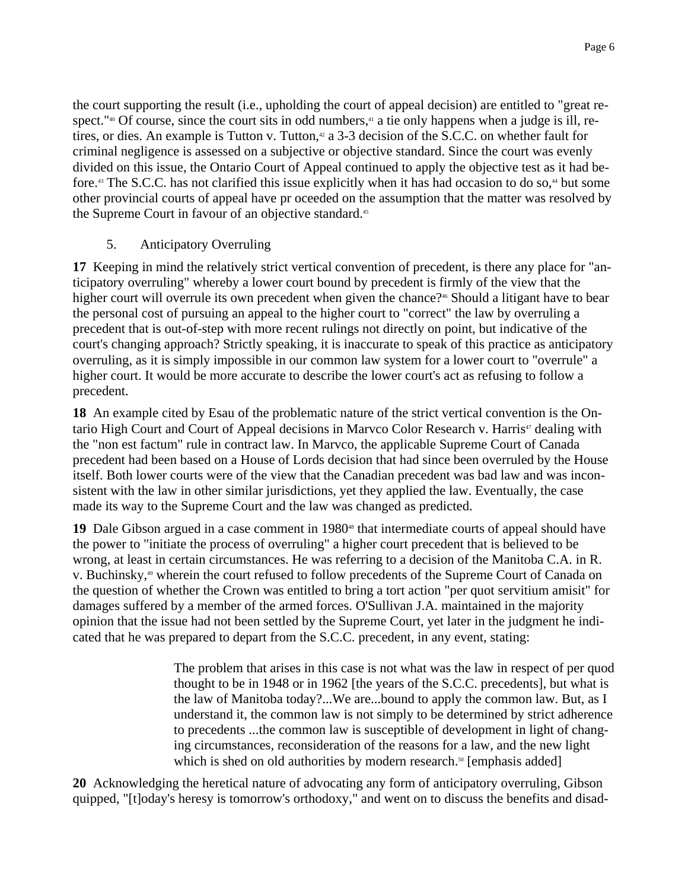the court supporting the result (i.e., upholding the court of appeal decision) are entitled to "great respect."<sup>40</sup> Of course, since the court sits in odd numbers,<sup> $41$ </sup> a tie only happens when a judge is ill, retires, or dies. An example is Tutton v. Tutton,<sup>42</sup> a 3-3 decision of the S.C.C. on whether fault for criminal negligence is assessed on a subjective or objective standard. Since the court was evenly divided on this issue, the Ontario Court of Appeal continued to apply the objective test as it had before.<sup>43</sup> The S.C.C. has not clarified this issue explicitly when it has had occasion to do so,<sup>44</sup> but some other provincial courts of appeal have pr oceeded on the assumption that the matter was resolved by the Supreme Court in favour of an objective standard.<sup>45</sup>

#### 5. Anticipatory Overruling

**17** Keeping in mind the relatively strict vertical convention of precedent, is there any place for "anticipatory overruling" whereby a lower court bound by precedent is firmly of the view that the higher court will overrule its own precedent when given the chance?<sup>46</sup> Should a litigant have to bear the personal cost of pursuing an appeal to the higher court to "correct" the law by overruling a precedent that is out-of-step with more recent rulings not directly on point, but indicative of the court's changing approach? Strictly speaking, it is inaccurate to speak of this practice as anticipatory overruling, as it is simply impossible in our common law system for a lower court to "overrule" a higher court. It would be more accurate to describe the lower court's act as refusing to follow a precedent.

**18** An example cited by Esau of the problematic nature of the strict vertical convention is the Ontario High Court and Court of Appeal decisions in Marvco Color Research v. Harris<sup>47</sup> dealing with the "non est factum" rule in contract law. In Marvco, the applicable Supreme Court of Canada precedent had been based on a House of Lords decision that had since been overruled by the House itself. Both lower courts were of the view that the Canadian precedent was bad law and was inconsistent with the law in other similar jurisdictions, yet they applied the law. Eventually, the case made its way to the Supreme Court and the law was changed as predicted.

19 Dale Gibson argued in a case comment in 1980<sup>48</sup> that intermediate courts of appeal should have the power to "initiate the process of overruling" a higher court precedent that is believed to be wrong, at least in certain circumstances. He was referring to a decision of the Manitoba C.A. in R. v. Buchinsky,<sup>49</sup> wherein the court refused to follow precedents of the Supreme Court of Canada on the question of whether the Crown was entitled to bring a tort action "per quot servitium amisit" for damages suffered by a member of the armed forces. O'Sullivan J.A. maintained in the majority opinion that the issue had not been settled by the Supreme Court, yet later in the judgment he indicated that he was prepared to depart from the S.C.C. precedent, in any event, stating:

> The problem that arises in this case is not what was the law in respect of per quod thought to be in 1948 or in 1962 [the years of the S.C.C. precedents], but what is the law of Manitoba today?...We are...bound to apply the common law. But, as I understand it, the common law is not simply to be determined by strict adherence to precedents ...the common law is susceptible of development in light of changing circumstances, reconsideration of the reasons for a law, and the new light which is shed on old authorities by modern research.<sup>50</sup> [emphasis added]

**20** Acknowledging the heretical nature of advocating any form of anticipatory overruling, Gibson quipped, "[t]oday's heresy is tomorrow's orthodoxy," and went on to discuss the benefits and disad-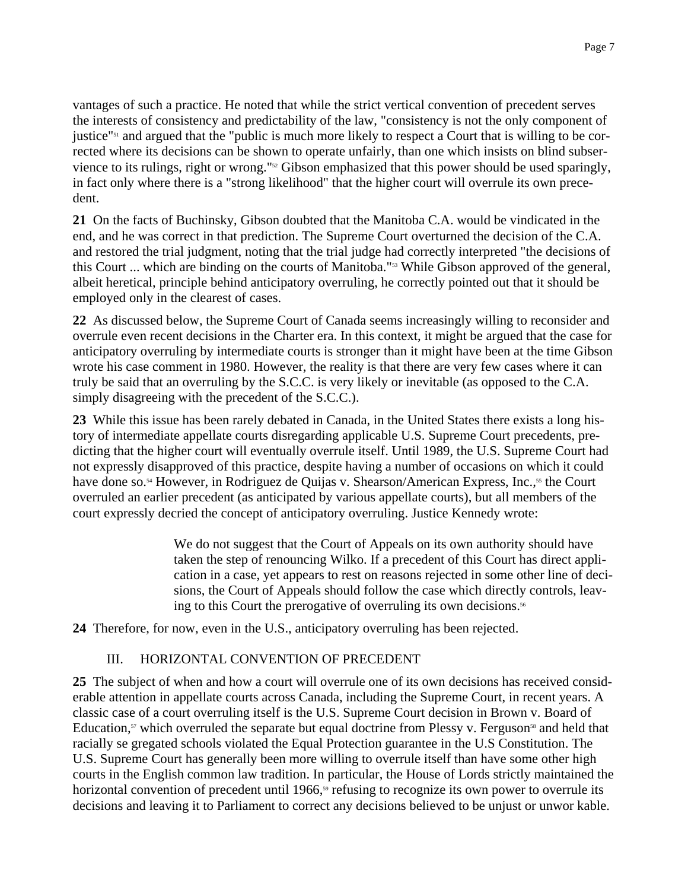vantages of such a practice. He noted that while the strict vertical convention of precedent serves the interests of consistency and predictability of the law, "consistency is not the only component of justice"<sup>51</sup> and argued that the "public is much more likely to respect a Court that is willing to be corrected where its decisions can be shown to operate unfairly, than one which insists on blind subservience to its rulings, right or wrong."52 Gibson emphasized that this power should be used sparingly, in fact only where there is a "strong likelihood" that the higher court will overrule its own precedent.

**21** On the facts of Buchinsky, Gibson doubted that the Manitoba C.A. would be vindicated in the end, and he was correct in that prediction. The Supreme Court overturned the decision of the C.A. and restored the trial judgment, noting that the trial judge had correctly interpreted "the decisions of this Court ... which are binding on the courts of Manitoba."53 While Gibson approved of the general, albeit heretical, principle behind anticipatory overruling, he correctly pointed out that it should be employed only in the clearest of cases.

**22** As discussed below, the Supreme Court of Canada seems increasingly willing to reconsider and overrule even recent decisions in the Charter era. In this context, it might be argued that the case for anticipatory overruling by intermediate courts is stronger than it might have been at the time Gibson wrote his case comment in 1980. However, the reality is that there are very few cases where it can truly be said that an overruling by the S.C.C. is very likely or inevitable (as opposed to the C.A. simply disagreeing with the precedent of the S.C.C.).

**23** While this issue has been rarely debated in Canada, in the United States there exists a long history of intermediate appellate courts disregarding applicable U.S. Supreme Court precedents, predicting that the higher court will eventually overrule itself. Until 1989, the U.S. Supreme Court had not expressly disapproved of this practice, despite having a number of occasions on which it could have done so.<sup>54</sup> However, in Rodriguez de Quijas v. Shearson/American Express, Inc.,<sup>55</sup> the Court overruled an earlier precedent (as anticipated by various appellate courts), but all members of the court expressly decried the concept of anticipatory overruling. Justice Kennedy wrote:

> We do not suggest that the Court of Appeals on its own authority should have taken the step of renouncing Wilko. If a precedent of this Court has direct application in a case, yet appears to rest on reasons rejected in some other line of decisions, the Court of Appeals should follow the case which directly controls, leaving to this Court the prerogative of overruling its own decisions.<sup>56</sup>

**24** Therefore, for now, even in the U.S., anticipatory overruling has been rejected.

# III. HORIZONTAL CONVENTION OF PRECEDENT

**25** The subject of when and how a court will overrule one of its own decisions has received considerable attention in appellate courts across Canada, including the Supreme Court, in recent years. A classic case of a court overruling itself is the U.S. Supreme Court decision in Brown v. Board of Education, $57$  which overruled the separate but equal doctrine from Plessy v. Ferguson<sup>58</sup> and held that racially se gregated schools violated the Equal Protection guarantee in the U.S Constitution. The U.S. Supreme Court has generally been more willing to overrule itself than have some other high courts in the English common law tradition. In particular, the House of Lords strictly maintained the horizontal convention of precedent until 1966,<sup>59</sup> refusing to recognize its own power to overrule its decisions and leaving it to Parliament to correct any decisions believed to be unjust or unwor kable.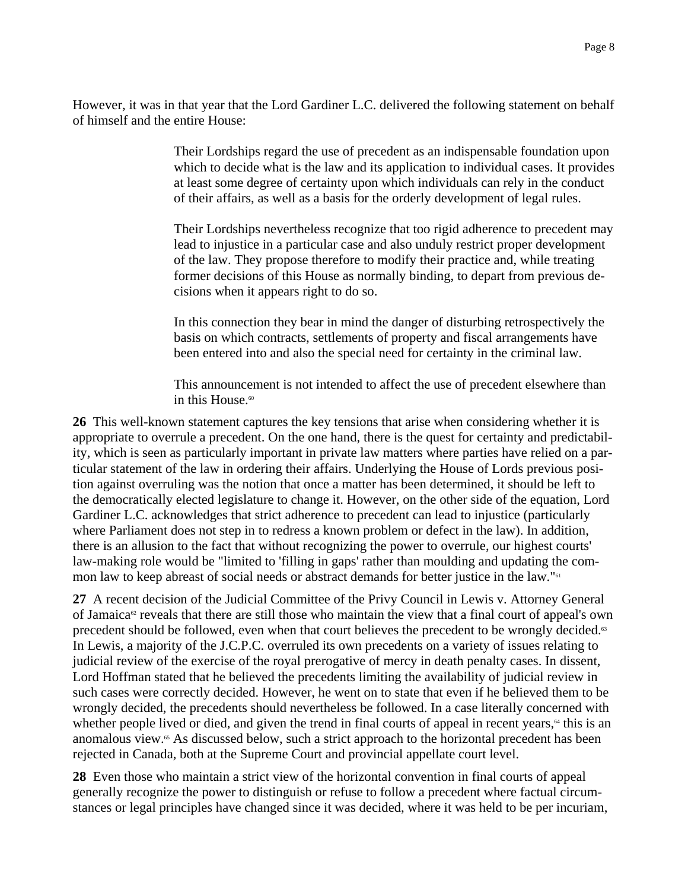However, it was in that year that the Lord Gardiner L.C. delivered the following statement on behalf of himself and the entire House:

> Their Lordships regard the use of precedent as an indispensable foundation upon which to decide what is the law and its application to individual cases. It provides at least some degree of certainty upon which individuals can rely in the conduct of their affairs, as well as a basis for the orderly development of legal rules.

> Their Lordships nevertheless recognize that too rigid adherence to precedent may lead to injustice in a particular case and also unduly restrict proper development of the law. They propose therefore to modify their practice and, while treating former decisions of this House as normally binding, to depart from previous decisions when it appears right to do so.

In this connection they bear in mind the danger of disturbing retrospectively the basis on which contracts, settlements of property and fiscal arrangements have been entered into and also the special need for certainty in the criminal law.

This announcement is not intended to affect the use of precedent elsewhere than in this House. $60$ 

**26** This well-known statement captures the key tensions that arise when considering whether it is appropriate to overrule a precedent. On the one hand, there is the quest for certainty and predictability, which is seen as particularly important in private law matters where parties have relied on a particular statement of the law in ordering their affairs. Underlying the House of Lords previous position against overruling was the notion that once a matter has been determined, it should be left to the democratically elected legislature to change it. However, on the other side of the equation, Lord Gardiner L.C. acknowledges that strict adherence to precedent can lead to injustice (particularly where Parliament does not step in to redress a known problem or defect in the law). In addition, there is an allusion to the fact that without recognizing the power to overrule, our highest courts' law-making role would be "limited to 'filling in gaps' rather than moulding and updating the common law to keep abreast of social needs or abstract demands for better justice in the law."<sup>61</sup>

**27** A recent decision of the Judicial Committee of the Privy Council in Lewis v. Attorney General of Jamaica<sup> $\alpha$ </sup> reveals that there are still those who maintain the view that a final court of appeal's own precedent should be followed, even when that court believes the precedent to be wrongly decided.<sup>63</sup> In Lewis, a majority of the J.C.P.C. overruled its own precedents on a variety of issues relating to judicial review of the exercise of the royal prerogative of mercy in death penalty cases. In dissent, Lord Hoffman stated that he believed the precedents limiting the availability of judicial review in such cases were correctly decided. However, he went on to state that even if he believed them to be wrongly decided, the precedents should nevertheless be followed. In a case literally concerned with whether people lived or died, and given the trend in final courts of appeal in recent years, $\alpha$  this is an anomalous view.<sup>65</sup> As discussed below, such a strict approach to the horizontal precedent has been rejected in Canada, both at the Supreme Court and provincial appellate court level.

**28** Even those who maintain a strict view of the horizontal convention in final courts of appeal generally recognize the power to distinguish or refuse to follow a precedent where factual circumstances or legal principles have changed since it was decided, where it was held to be per incuriam,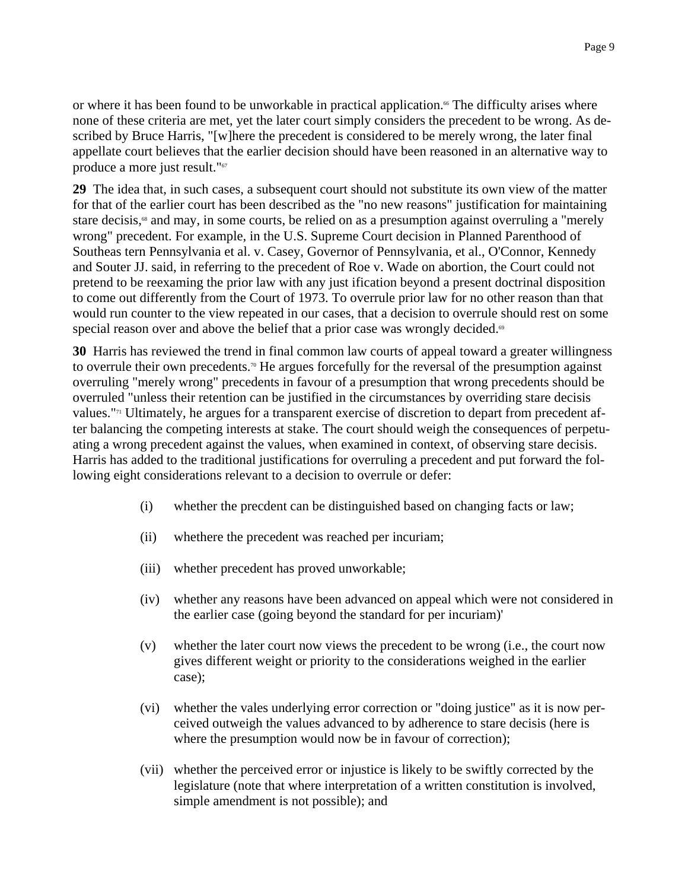or where it has been found to be unworkable in practical application.<sup>66</sup> The difficulty arises where none of these criteria are met, yet the later court simply considers the precedent to be wrong. As described by Bruce Harris, "[w]here the precedent is considered to be merely wrong, the later final appellate court believes that the earlier decision should have been reasoned in an alternative way to produce a more just result."<sup>67</sup>

**29** The idea that, in such cases, a subsequent court should not substitute its own view of the matter for that of the earlier court has been described as the "no new reasons" justification for maintaining stare decisis,<sup>68</sup> and may, in some courts, be relied on as a presumption against overruling a "merely" wrong" precedent. For example, in the U.S. Supreme Court decision in Planned Parenthood of Southeas tern Pennsylvania et al. v. Casey, Governor of Pennsylvania, et al., O'Connor, Kennedy and Souter JJ. said, in referring to the precedent of Roe v. Wade on abortion, the Court could not pretend to be reexaming the prior law with any just ification beyond a present doctrinal disposition to come out differently from the Court of 1973. To overrule prior law for no other reason than that would run counter to the view repeated in our cases, that a decision to overrule should rest on some special reason over and above the belief that a prior case was wrongly decided.<sup>®</sup>

**30** Harris has reviewed the trend in final common law courts of appeal toward a greater willingness to overrule their own precedents.<sup>70</sup> He argues forcefully for the reversal of the presumption against overruling "merely wrong" precedents in favour of a presumption that wrong precedents should be overruled "unless their retention can be justified in the circumstances by overriding stare decisis values."71 Ultimately, he argues for a transparent exercise of discretion to depart from precedent after balancing the competing interests at stake. The court should weigh the consequences of perpetuating a wrong precedent against the values, when examined in context, of observing stare decisis. Harris has added to the traditional justifications for overruling a precedent and put forward the following eight considerations relevant to a decision to overrule or defer:

- (i) whether the precdent can be distinguished based on changing facts or law;
- (ii) whethere the precedent was reached per incuriam;
- (iii) whether precedent has proved unworkable;
- (iv) whether any reasons have been advanced on appeal which were not considered in the earlier case (going beyond the standard for per incuriam)'
- (v) whether the later court now views the precedent to be wrong (i.e., the court now gives different weight or priority to the considerations weighed in the earlier case);
- (vi) whether the vales underlying error correction or "doing justice" as it is now perceived outweigh the values advanced to by adherence to stare decisis (here is where the presumption would now be in favour of correction);
- (vii) whether the perceived error or injustice is likely to be swiftly corrected by the legislature (note that where interpretation of a written constitution is involved, simple amendment is not possible); and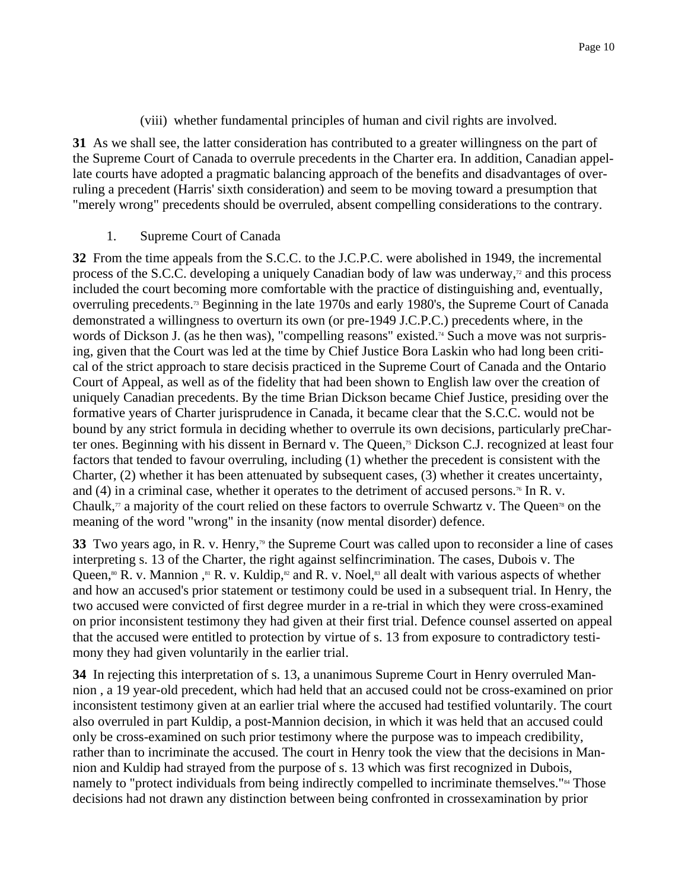# (viii) whether fundamental principles of human and civil rights are involved.

**31** As we shall see, the latter consideration has contributed to a greater willingness on the part of the Supreme Court of Canada to overrule precedents in the Charter era. In addition, Canadian appellate courts have adopted a pragmatic balancing approach of the benefits and disadvantages of overruling a precedent (Harris' sixth consideration) and seem to be moving toward a presumption that "merely wrong" precedents should be overruled, absent compelling considerations to the contrary.

#### 1. Supreme Court of Canada

**32** From the time appeals from the S.C.C. to the J.C.P.C. were abolished in 1949, the incremental process of the S.C.C. developing a uniquely Canadian body of law was underway, $\frac{1}{2}$  and this process included the court becoming more comfortable with the practice of distinguishing and, eventually, overruling precedents.73 Beginning in the late 1970s and early 1980's, the Supreme Court of Canada demonstrated a willingness to overturn its own (or pre-1949 J.C.P.C.) precedents where, in the words of Dickson J. (as he then was), "compelling reasons" existed.<sup>74</sup> Such a move was not surprising, given that the Court was led at the time by Chief Justice Bora Laskin who had long been critical of the strict approach to stare decisis practiced in the Supreme Court of Canada and the Ontario Court of Appeal, as well as of the fidelity that had been shown to English law over the creation of uniquely Canadian precedents. By the time Brian Dickson became Chief Justice, presiding over the formative years of Charter jurisprudence in Canada, it became clear that the S.C.C. would not be bound by any strict formula in deciding whether to overrule its own decisions, particularly preCharter ones. Beginning with his dissent in Bernard v. The Queen,<sup>75</sup> Dickson C.J. recognized at least four factors that tended to favour overruling, including (1) whether the precedent is consistent with the Charter, (2) whether it has been attenuated by subsequent cases, (3) whether it creates uncertainty, and (4) in a criminal case, whether it operates to the detriment of accused persons.<sup>76</sup> In R. v. Chaulk,<sup> $\pi$ </sup> a majority of the court relied on these factors to overrule Schwartz v. The Queen<sup>78</sup> on the meaning of the word "wrong" in the insanity (now mental disorder) defence.

**33** Two years ago, in R. v. Henry,<sup>79</sup> the Supreme Court was called upon to reconsider a line of cases interpreting s. 13 of the Charter, the right against selfincrimination. The cases, Dubois v. The Queen,<sup>80</sup> R. v. Mannion, <sup>81</sup> R. v. Kuldip,<sup>82</sup> and R. v. Noel,<sup>83</sup> all dealt with various aspects of whether and how an accused's prior statement or testimony could be used in a subsequent trial. In Henry, the two accused were convicted of first degree murder in a re-trial in which they were cross-examined on prior inconsistent testimony they had given at their first trial. Defence counsel asserted on appeal that the accused were entitled to protection by virtue of s. 13 from exposure to contradictory testimony they had given voluntarily in the earlier trial.

**34** In rejecting this interpretation of s. 13, a unanimous Supreme Court in Henry overruled Mannion , a 19 year-old precedent, which had held that an accused could not be cross-examined on prior inconsistent testimony given at an earlier trial where the accused had testified voluntarily. The court also overruled in part Kuldip, a post-Mannion decision, in which it was held that an accused could only be cross-examined on such prior testimony where the purpose was to impeach credibility, rather than to incriminate the accused. The court in Henry took the view that the decisions in Mannion and Kuldip had strayed from the purpose of s. 13 which was first recognized in Dubois, namely to "protect individuals from being indirectly compelled to incriminate themselves."<sup>84</sup> Those decisions had not drawn any distinction between being confronted in crossexamination by prior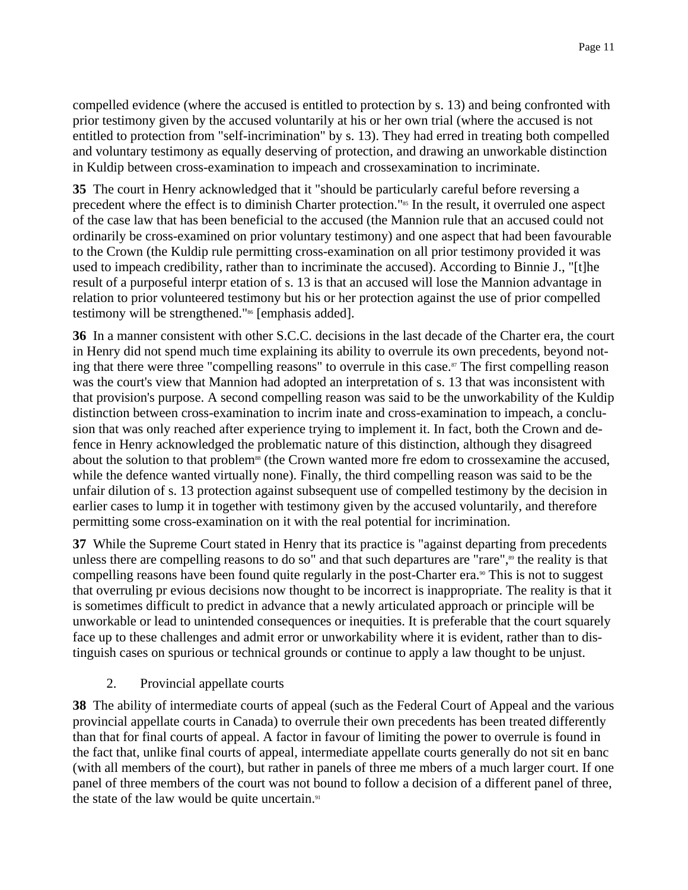compelled evidence (where the accused is entitled to protection by s. 13) and being confronted with prior testimony given by the accused voluntarily at his or her own trial (where the accused is not entitled to protection from "self-incrimination" by s. 13). They had erred in treating both compelled and voluntary testimony as equally deserving of protection, and drawing an unworkable distinction in Kuldip between cross-examination to impeach and crossexamination to incriminate.

**35** The court in Henry acknowledged that it "should be particularly careful before reversing a precedent where the effect is to diminish Charter protection."85 In the result, it overruled one aspect of the case law that has been beneficial to the accused (the Mannion rule that an accused could not ordinarily be cross-examined on prior voluntary testimony) and one aspect that had been favourable to the Crown (the Kuldip rule permitting cross-examination on all prior testimony provided it was used to impeach credibility, rather than to incriminate the accused). According to Binnie J., "[t]he result of a purposeful interpr etation of s. 13 is that an accused will lose the Mannion advantage in relation to prior volunteered testimony but his or her protection against the use of prior compelled testimony will be strengthened."<sup>86</sup> [emphasis added].

**36** In a manner consistent with other S.C.C. decisions in the last decade of the Charter era, the court in Henry did not spend much time explaining its ability to overrule its own precedents, beyond noting that there were three "compelling reasons" to overrule in this case.<sup>87</sup> The first compelling reason was the court's view that Mannion had adopted an interpretation of s. 13 that was inconsistent with that provision's purpose. A second compelling reason was said to be the unworkability of the Kuldip distinction between cross-examination to incrim inate and cross-examination to impeach, a conclusion that was only reached after experience trying to implement it. In fact, both the Crown and defence in Henry acknowledged the problematic nature of this distinction, although they disagreed about the solution to that problem<sup>88</sup> (the Crown wanted more fre edom to crossexamine the accused, while the defence wanted virtually none). Finally, the third compelling reason was said to be the unfair dilution of s. 13 protection against subsequent use of compelled testimony by the decision in earlier cases to lump it in together with testimony given by the accused voluntarily, and therefore permitting some cross-examination on it with the real potential for incrimination.

**37** While the Supreme Court stated in Henry that its practice is "against departing from precedents unless there are compelling reasons to do so" and that such departures are "rare",<sup>89</sup> the reality is that compelling reasons have been found quite regularly in the post-Charter era.<sup>90</sup> This is not to suggest that overruling pr evious decisions now thought to be incorrect is inappropriate. The reality is that it is sometimes difficult to predict in advance that a newly articulated approach or principle will be unworkable or lead to unintended consequences or inequities. It is preferable that the court squarely face up to these challenges and admit error or unworkability where it is evident, rather than to distinguish cases on spurious or technical grounds or continue to apply a law thought to be unjust.

# 2. Provincial appellate courts

**38** The ability of intermediate courts of appeal (such as the Federal Court of Appeal and the various provincial appellate courts in Canada) to overrule their own precedents has been treated differently than that for final courts of appeal. A factor in favour of limiting the power to overrule is found in the fact that, unlike final courts of appeal, intermediate appellate courts generally do not sit en banc (with all members of the court), but rather in panels of three me mbers of a much larger court. If one panel of three members of the court was not bound to follow a decision of a different panel of three, the state of the law would be quite uncertain.<sup>91</sup>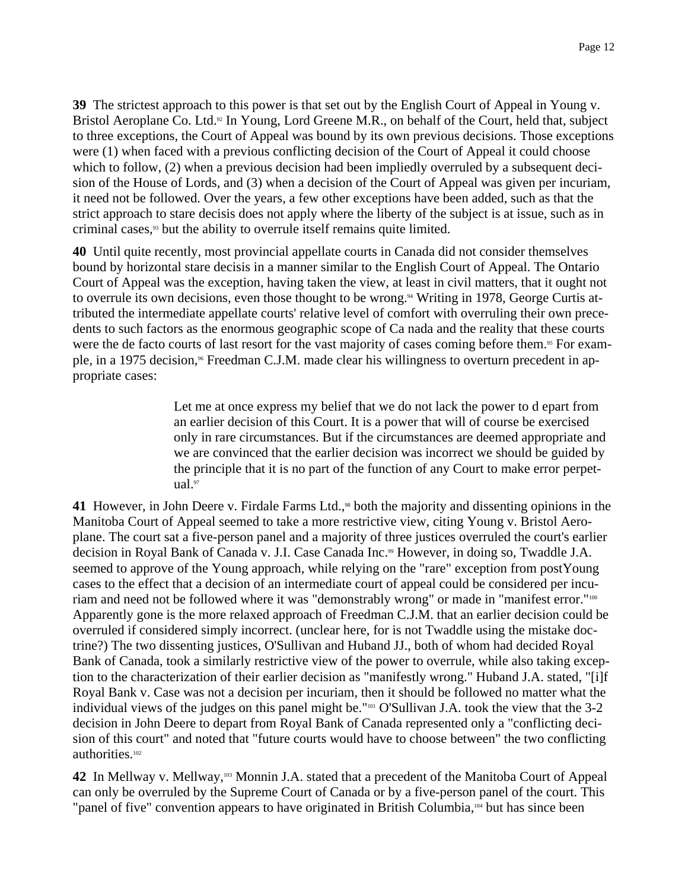**39** The strictest approach to this power is that set out by the English Court of Appeal in Young v. Bristol Aeroplane Co. Ltd.<sup>92</sup> In Young, Lord Greene M.R., on behalf of the Court, held that, subject to three exceptions, the Court of Appeal was bound by its own previous decisions. Those exceptions were (1) when faced with a previous conflicting decision of the Court of Appeal it could choose which to follow, (2) when a previous decision had been impliedly overruled by a subsequent decision of the House of Lords, and (3) when a decision of the Court of Appeal was given per incuriam, it need not be followed. Over the years, a few other exceptions have been added, such as that the strict approach to stare decisis does not apply where the liberty of the subject is at issue, such as in criminal cases,<sup>93</sup> but the ability to overrule itself remains quite limited.

**40** Until quite recently, most provincial appellate courts in Canada did not consider themselves bound by horizontal stare decisis in a manner similar to the English Court of Appeal. The Ontario Court of Appeal was the exception, having taken the view, at least in civil matters, that it ought not to overrule its own decisions, even those thought to be wrong.<sup>94</sup> Writing in 1978, George Curtis attributed the intermediate appellate courts' relative level of comfort with overruling their own precedents to such factors as the enormous geographic scope of Ca nada and the reality that these courts were the de facto courts of last resort for the vast majority of cases coming before them.<sup>95</sup> For example, in a 1975 decision,<sup>96</sup> Freedman C.J.M. made clear his willingness to overturn precedent in appropriate cases:

> Let me at once express my belief that we do not lack the power to d epart from an earlier decision of this Court. It is a power that will of course be exercised only in rare circumstances. But if the circumstances are deemed appropriate and we are convinced that the earlier decision was incorrect we should be guided by the principle that it is no part of the function of any Court to make error perpetual.97

**41** However, in John Deere v. Firdale Farms Ltd.,<sup>98</sup> both the majority and dissenting opinions in the Manitoba Court of Appeal seemed to take a more restrictive view, citing Young v. Bristol Aeroplane. The court sat a five-person panel and a majority of three justices overruled the court's earlier decision in Royal Bank of Canada v. J.I. Case Canada Inc.<sup>99</sup> However, in doing so, Twaddle J.A. seemed to approve of the Young approach, while relying on the "rare" exception from postYoung cases to the effect that a decision of an intermediate court of appeal could be considered per incuriam and need not be followed where it was "demonstrably wrong" or made in "manifest error."<sup>100</sup> Apparently gone is the more relaxed approach of Freedman C.J.M. that an earlier decision could be overruled if considered simply incorrect. (unclear here, for is not Twaddle using the mistake doctrine?) The two dissenting justices, O'Sullivan and Huband JJ., both of whom had decided Royal Bank of Canada, took a similarly restrictive view of the power to overrule, while also taking exception to the characterization of their earlier decision as "manifestly wrong." Huband J.A. stated, "[i]f Royal Bank v. Case was not a decision per incuriam, then it should be followed no matter what the individual views of the judges on this panel might be."101 O'Sullivan J.A. took the view that the 3-2 decision in John Deere to depart from Royal Bank of Canada represented only a "conflicting decision of this court" and noted that "future courts would have to choose between" the two conflicting authorities.102

**42** In Mellway v. Mellway,103 Monnin J.A. stated that a precedent of the Manitoba Court of Appeal can only be overruled by the Supreme Court of Canada or by a five-person panel of the court. This "panel of five" convention appears to have originated in British Columbia,104 but has since been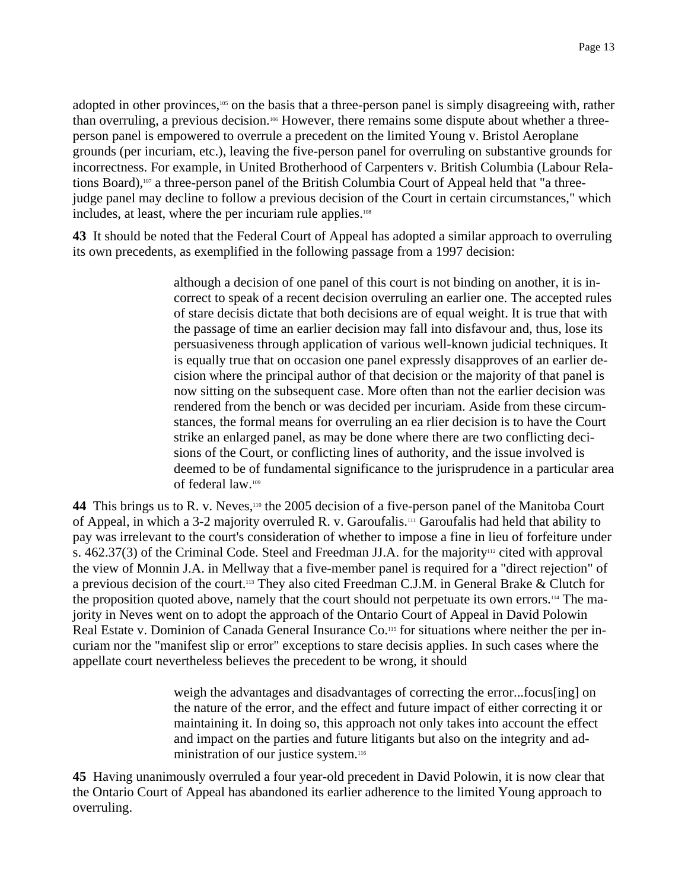adopted in other provinces,<sup>105</sup> on the basis that a three-person panel is simply disagreeing with, rather than overruling, a previous decision.106 However, there remains some dispute about whether a threeperson panel is empowered to overrule a precedent on the limited Young v. Bristol Aeroplane grounds (per incuriam, etc.), leaving the five-person panel for overruling on substantive grounds for incorrectness. For example, in United Brotherhood of Carpenters v. British Columbia (Labour Relations Board),107 a three-person panel of the British Columbia Court of Appeal held that "a threejudge panel may decline to follow a previous decision of the Court in certain circumstances," which includes, at least, where the per incuriam rule applies.<sup>108</sup>

**43** It should be noted that the Federal Court of Appeal has adopted a similar approach to overruling its own precedents, as exemplified in the following passage from a 1997 decision:

> although a decision of one panel of this court is not binding on another, it is incorrect to speak of a recent decision overruling an earlier one. The accepted rules of stare decisis dictate that both decisions are of equal weight. It is true that with the passage of time an earlier decision may fall into disfavour and, thus, lose its persuasiveness through application of various well-known judicial techniques. It is equally true that on occasion one panel expressly disapproves of an earlier decision where the principal author of that decision or the majority of that panel is now sitting on the subsequent case. More often than not the earlier decision was rendered from the bench or was decided per incuriam. Aside from these circumstances, the formal means for overruling an ea rlier decision is to have the Court strike an enlarged panel, as may be done where there are two conflicting decisions of the Court, or conflicting lines of authority, and the issue involved is deemed to be of fundamental significance to the jurisprudence in a particular area of federal law.109

44 This brings us to R. v. Neves,<sup>110</sup> the 2005 decision of a five-person panel of the Manitoba Court of Appeal, in which a 3-2 majority overruled R. v. Garoufalis.111 Garoufalis had held that ability to pay was irrelevant to the court's consideration of whether to impose a fine in lieu of forfeiture under s.  $462.37(3)$  of the Criminal Code. Steel and Freedman JJ.A. for the majority<sup>112</sup> cited with approval the view of Monnin J.A. in Mellway that a five-member panel is required for a "direct rejection" of a previous decision of the court.<sup>113</sup> They also cited Freedman C.J.M. in General Brake & Clutch for the proposition quoted above, namely that the court should not perpetuate its own errors.114 The majority in Neves went on to adopt the approach of the Ontario Court of Appeal in David Polowin Real Estate v. Dominion of Canada General Insurance Co.<sup>115</sup> for situations where neither the per incuriam nor the "manifest slip or error" exceptions to stare decisis applies. In such cases where the appellate court nevertheless believes the precedent to be wrong, it should

> weigh the advantages and disadvantages of correcting the error...focus[ing] on the nature of the error, and the effect and future impact of either correcting it or maintaining it. In doing so, this approach not only takes into account the effect and impact on the parties and future litigants but also on the integrity and administration of our justice system.<sup>116</sup>

**45** Having unanimously overruled a four year-old precedent in David Polowin, it is now clear that the Ontario Court of Appeal has abandoned its earlier adherence to the limited Young approach to overruling.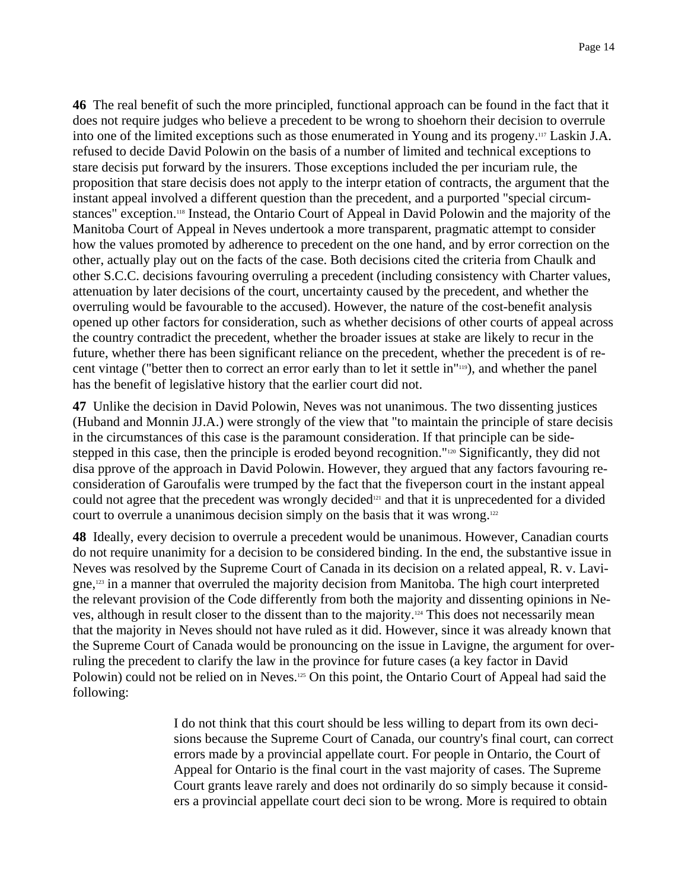**46** The real benefit of such the more principled, functional approach can be found in the fact that it does not require judges who believe a precedent to be wrong to shoehorn their decision to overrule into one of the limited exceptions such as those enumerated in Young and its progeny.117 Laskin J.A. refused to decide David Polowin on the basis of a number of limited and technical exceptions to stare decisis put forward by the insurers. Those exceptions included the per incuriam rule, the proposition that stare decisis does not apply to the interpr etation of contracts, the argument that the instant appeal involved a different question than the precedent, and a purported "special circumstances" exception.<sup>118</sup> Instead, the Ontario Court of Appeal in David Polowin and the majority of the Manitoba Court of Appeal in Neves undertook a more transparent, pragmatic attempt to consider how the values promoted by adherence to precedent on the one hand, and by error correction on the other, actually play out on the facts of the case. Both decisions cited the criteria from Chaulk and other S.C.C. decisions favouring overruling a precedent (including consistency with Charter values, attenuation by later decisions of the court, uncertainty caused by the precedent, and whether the overruling would be favourable to the accused). However, the nature of the cost-benefit analysis opened up other factors for consideration, such as whether decisions of other courts of appeal across the country contradict the precedent, whether the broader issues at stake are likely to recur in the future, whether there has been significant reliance on the precedent, whether the precedent is of recent vintage ("better then to correct an error early than to let it settle in"119), and whether the panel has the benefit of legislative history that the earlier court did not.

**47** Unlike the decision in David Polowin, Neves was not unanimous. The two dissenting justices (Huband and Monnin JJ.A.) were strongly of the view that "to maintain the principle of stare decisis in the circumstances of this case is the paramount consideration. If that principle can be sidestepped in this case, then the principle is eroded beyond recognition."<sup>120</sup> Significantly, they did not disa pprove of the approach in David Polowin. However, they argued that any factors favouring reconsideration of Garoufalis were trumped by the fact that the fiveperson court in the instant appeal could not agree that the precedent was wrongly decided<sup>121</sup> and that it is unprecedented for a divided court to overrule a unanimous decision simply on the basis that it was wrong.<sup>122</sup>

**48** Ideally, every decision to overrule a precedent would be unanimous. However, Canadian courts do not require unanimity for a decision to be considered binding. In the end, the substantive issue in Neves was resolved by the Supreme Court of Canada in its decision on a related appeal, R. v. Lavigne,123 in a manner that overruled the majority decision from Manitoba. The high court interpreted the relevant provision of the Code differently from both the majority and dissenting opinions in Neves, although in result closer to the dissent than to the majority.124 This does not necessarily mean that the majority in Neves should not have ruled as it did. However, since it was already known that the Supreme Court of Canada would be pronouncing on the issue in Lavigne, the argument for overruling the precedent to clarify the law in the province for future cases (a key factor in David Polowin) could not be relied on in Neves.<sup>125</sup> On this point, the Ontario Court of Appeal had said the following:

> I do not think that this court should be less willing to depart from its own decisions because the Supreme Court of Canada, our country's final court, can correct errors made by a provincial appellate court. For people in Ontario, the Court of Appeal for Ontario is the final court in the vast majority of cases. The Supreme Court grants leave rarely and does not ordinarily do so simply because it considers a provincial appellate court deci sion to be wrong. More is required to obtain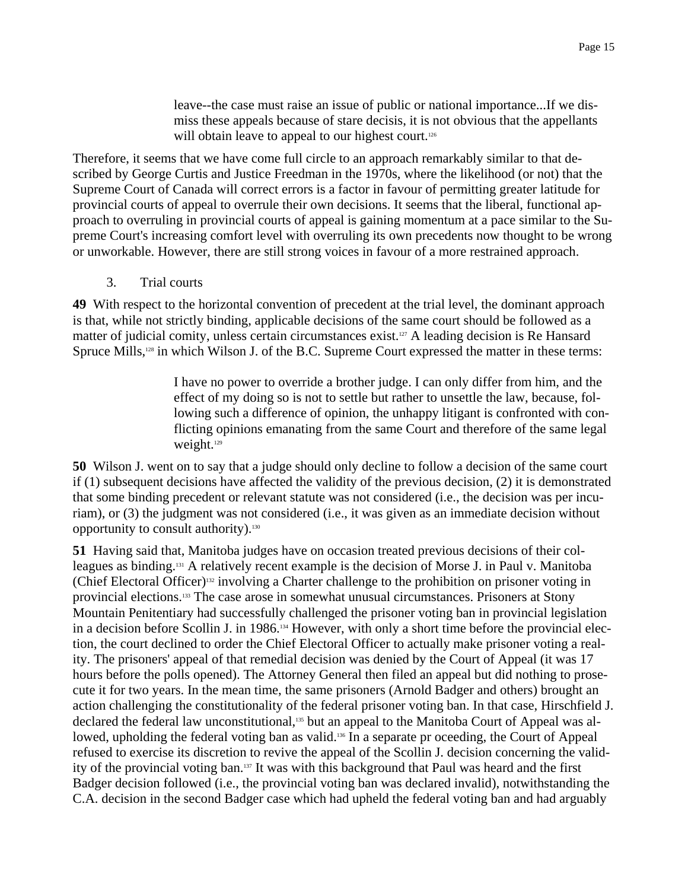leave--the case must raise an issue of public or national importance...If we dismiss these appeals because of stare decisis, it is not obvious that the appellants will obtain leave to appeal to our highest court.<sup>126</sup>

Therefore, it seems that we have come full circle to an approach remarkably similar to that described by George Curtis and Justice Freedman in the 1970s, where the likelihood (or not) that the Supreme Court of Canada will correct errors is a factor in favour of permitting greater latitude for provincial courts of appeal to overrule their own decisions. It seems that the liberal, functional approach to overruling in provincial courts of appeal is gaining momentum at a pace similar to the Supreme Court's increasing comfort level with overruling its own precedents now thought to be wrong or unworkable. However, there are still strong voices in favour of a more restrained approach.

3. Trial courts

**49** With respect to the horizontal convention of precedent at the trial level, the dominant approach is that, while not strictly binding, applicable decisions of the same court should be followed as a matter of judicial comity, unless certain circumstances exist.127 A leading decision is Re Hansard Spruce Mills,<sup>128</sup> in which Wilson J. of the B.C. Supreme Court expressed the matter in these terms:

> I have no power to override a brother judge. I can only differ from him, and the effect of my doing so is not to settle but rather to unsettle the law, because, following such a difference of opinion, the unhappy litigant is confronted with conflicting opinions emanating from the same Court and therefore of the same legal weight.<sup>129</sup>

**50** Wilson J. went on to say that a judge should only decline to follow a decision of the same court if (1) subsequent decisions have affected the validity of the previous decision, (2) it is demonstrated that some binding precedent or relevant statute was not considered (i.e., the decision was per incuriam), or (3) the judgment was not considered (i.e., it was given as an immediate decision without opportunity to consult authority).130

**51** Having said that, Manitoba judges have on occasion treated previous decisions of their colleagues as binding.131 A relatively recent example is the decision of Morse J. in Paul v. Manitoba (Chief Electoral Officer)132 involving a Charter challenge to the prohibition on prisoner voting in provincial elections.133 The case arose in somewhat unusual circumstances. Prisoners at Stony Mountain Penitentiary had successfully challenged the prisoner voting ban in provincial legislation in a decision before Scollin J. in 1986.134 However, with only a short time before the provincial election, the court declined to order the Chief Electoral Officer to actually make prisoner voting a reality. The prisoners' appeal of that remedial decision was denied by the Court of Appeal (it was 17 hours before the polls opened). The Attorney General then filed an appeal but did nothing to prosecute it for two years. In the mean time, the same prisoners (Arnold Badger and others) brought an action challenging the constitutionality of the federal prisoner voting ban. In that case, Hirschfield J. declared the federal law unconstitutional,<sup>135</sup> but an appeal to the Manitoba Court of Appeal was allowed, upholding the federal voting ban as valid.<sup>136</sup> In a separate pr oceeding, the Court of Appeal refused to exercise its discretion to revive the appeal of the Scollin J. decision concerning the validity of the provincial voting ban.137 It was with this background that Paul was heard and the first Badger decision followed (i.e., the provincial voting ban was declared invalid), notwithstanding the C.A. decision in the second Badger case which had upheld the federal voting ban and had arguably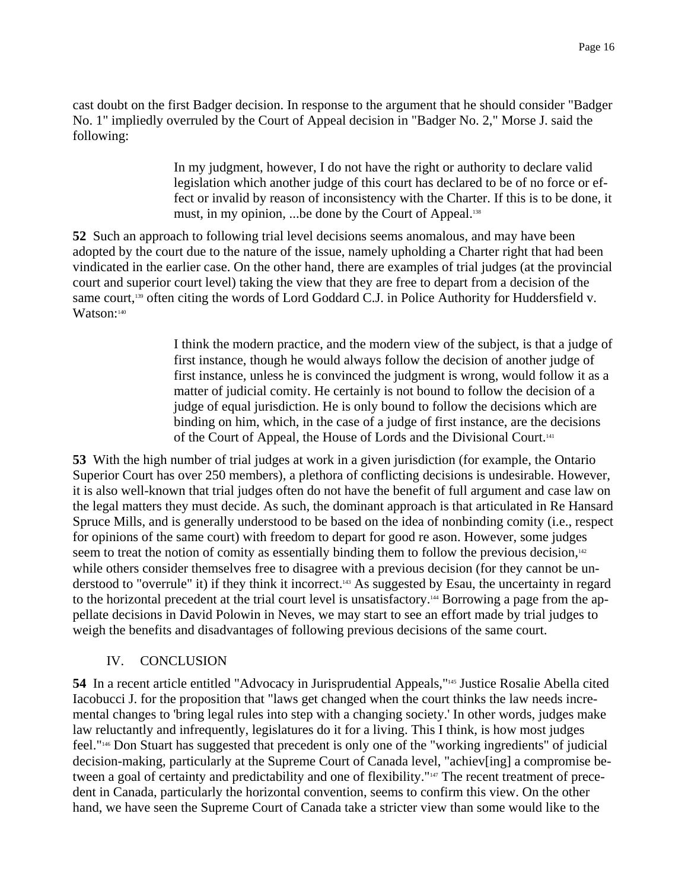cast doubt on the first Badger decision. In response to the argument that he should consider "Badger No. 1" impliedly overruled by the Court of Appeal decision in "Badger No. 2," Morse J. said the following:

> In my judgment, however, I do not have the right or authority to declare valid legislation which another judge of this court has declared to be of no force or effect or invalid by reason of inconsistency with the Charter. If this is to be done, it must, in my opinion, ...be done by the Court of Appeal.<sup>138</sup>

**52** Such an approach to following trial level decisions seems anomalous, and may have been adopted by the court due to the nature of the issue, namely upholding a Charter right that had been vindicated in the earlier case. On the other hand, there are examples of trial judges (at the provincial court and superior court level) taking the view that they are free to depart from a decision of the same court,<sup>139</sup> often citing the words of Lord Goddard C.J. in Police Authority for Huddersfield v. Watson:140

> I think the modern practice, and the modern view of the subject, is that a judge of first instance, though he would always follow the decision of another judge of first instance, unless he is convinced the judgment is wrong, would follow it as a matter of judicial comity. He certainly is not bound to follow the decision of a judge of equal jurisdiction. He is only bound to follow the decisions which are binding on him, which, in the case of a judge of first instance, are the decisions of the Court of Appeal, the House of Lords and the Divisional Court.141

**53** With the high number of trial judges at work in a given jurisdiction (for example, the Ontario Superior Court has over 250 members), a plethora of conflicting decisions is undesirable. However, it is also well-known that trial judges often do not have the benefit of full argument and case law on the legal matters they must decide. As such, the dominant approach is that articulated in Re Hansard Spruce Mills, and is generally understood to be based on the idea of nonbinding comity (i.e., respect for opinions of the same court) with freedom to depart for good re ason. However, some judges seem to treat the notion of comity as essentially binding them to follow the previous decision, $142$ while others consider themselves free to disagree with a previous decision (for they cannot be understood to "overrule" it) if they think it incorrect.143 As suggested by Esau, the uncertainty in regard to the horizontal precedent at the trial court level is unsatisfactory.<sup>144</sup> Borrowing a page from the appellate decisions in David Polowin in Neves, we may start to see an effort made by trial judges to weigh the benefits and disadvantages of following previous decisions of the same court.

# IV. CONCLUSION

**54** In a recent article entitled "Advocacy in Jurisprudential Appeals,"145 Justice Rosalie Abella cited Iacobucci J. for the proposition that "laws get changed when the court thinks the law needs incremental changes to 'bring legal rules into step with a changing society.' In other words, judges make law reluctantly and infrequently, legislatures do it for a living. This I think, is how most judges feel."146 Don Stuart has suggested that precedent is only one of the "working ingredients" of judicial decision-making, particularly at the Supreme Court of Canada level, "achiev[ing] a compromise between a goal of certainty and predictability and one of flexibility."<sup>147</sup> The recent treatment of precedent in Canada, particularly the horizontal convention, seems to confirm this view. On the other hand, we have seen the Supreme Court of Canada take a stricter view than some would like to the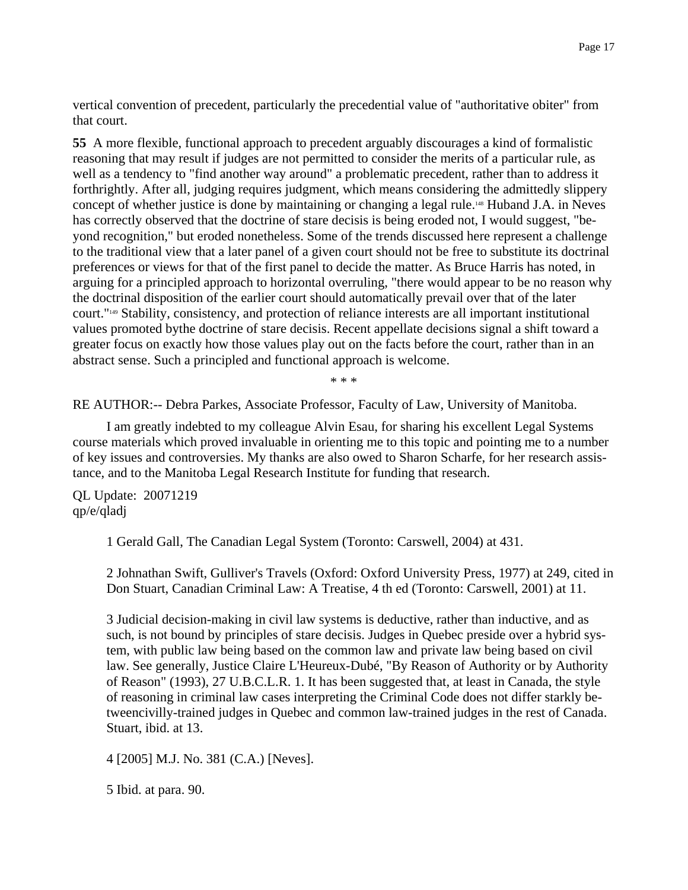vertical convention of precedent, particularly the precedential value of "authoritative obiter" from that court.

**55** A more flexible, functional approach to precedent arguably discourages a kind of formalistic reasoning that may result if judges are not permitted to consider the merits of a particular rule, as well as a tendency to "find another way around" a problematic precedent, rather than to address it forthrightly. After all, judging requires judgment, which means considering the admittedly slippery concept of whether justice is done by maintaining or changing a legal rule.<sup>148</sup> Huband J.A. in Neves has correctly observed that the doctrine of stare decisis is being eroded not, I would suggest, "beyond recognition," but eroded nonetheless. Some of the trends discussed here represent a challenge to the traditional view that a later panel of a given court should not be free to substitute its doctrinal preferences or views for that of the first panel to decide the matter. As Bruce Harris has noted, in arguing for a principled approach to horizontal overruling, "there would appear to be no reason why the doctrinal disposition of the earlier court should automatically prevail over that of the later court."149 Stability, consistency, and protection of reliance interests are all important institutional values promoted bythe doctrine of stare decisis. Recent appellate decisions signal a shift toward a greater focus on exactly how those values play out on the facts before the court, rather than in an abstract sense. Such a principled and functional approach is welcome.

\* \* \*

RE AUTHOR:-- Debra Parkes, Associate Professor, Faculty of Law, University of Manitoba.

I am greatly indebted to my colleague Alvin Esau, for sharing his excellent Legal Systems course materials which proved invaluable in orienting me to this topic and pointing me to a number of key issues and controversies. My thanks are also owed to Sharon Scharfe, for her research assistance, and to the Manitoba Legal Research Institute for funding that research.

QL Update: 20071219 qp/e/qladj

1 Gerald Gall, The Canadian Legal System (Toronto: Carswell, 2004) at 431.

2 Johnathan Swift, Gulliver's Travels (Oxford: Oxford University Press, 1977) at 249, cited in Don Stuart, Canadian Criminal Law: A Treatise, 4 th ed (Toronto: Carswell, 2001) at 11.

3 Judicial decision-making in civil law systems is deductive, rather than inductive, and as such, is not bound by principles of stare decisis. Judges in Quebec preside over a hybrid system, with public law being based on the common law and private law being based on civil law. See generally, Justice Claire L'Heureux-Dubé, "By Reason of Authority or by Authority of Reason" (1993), 27 U.B.C.L.R. 1. It has been suggested that, at least in Canada, the style of reasoning in criminal law cases interpreting the Criminal Code does not differ starkly betweencivilly-trained judges in Quebec and common law-trained judges in the rest of Canada. Stuart, ibid. at 13.

4 [2005] M.J. No. 381 (C.A.) [Neves].

5 Ibid. at para. 90.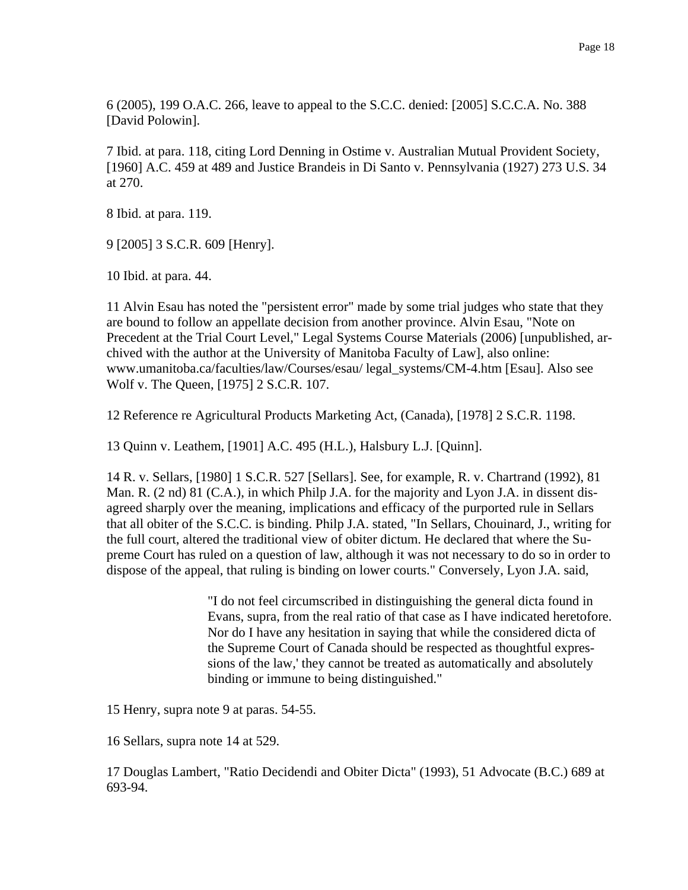6 (2005), 199 O.A.C. 266, leave to appeal to the S.C.C. denied: [2005] S.C.C.A. No. 388 [David Polowin].

7 Ibid. at para. 118, citing Lord Denning in Ostime v. Australian Mutual Provident Society, [1960] A.C. 459 at 489 and Justice Brandeis in Di Santo v. Pennsylvania (1927) 273 U.S. 34 at 270.

8 Ibid. at para. 119.

9 [2005] 3 S.C.R. 609 [Henry].

10 Ibid. at para. 44.

11 Alvin Esau has noted the "persistent error" made by some trial judges who state that they are bound to follow an appellate decision from another province. Alvin Esau, "Note on Precedent at the Trial Court Level," Legal Systems Course Materials (2006) [unpublished, archived with the author at the University of Manitoba Faculty of Law], also online: www.umanitoba.ca/faculties/law/Courses/esau/ legal\_systems/CM-4.htm [Esau]. Also see Wolf v. The Queen, [1975] 2 S.C.R. 107.

12 Reference re Agricultural Products Marketing Act, (Canada), [1978] 2 S.C.R. 1198.

13 Quinn v. Leathem, [1901] A.C. 495 (H.L.), Halsbury L.J. [Quinn].

14 R. v. Sellars, [1980] 1 S.C.R. 527 [Sellars]. See, for example, R. v. Chartrand (1992), 81 Man. R. (2 nd) 81 (C.A.), in which Philp J.A. for the majority and Lyon J.A. in dissent disagreed sharply over the meaning, implications and efficacy of the purported rule in Sellars that all obiter of the S.C.C. is binding. Philp J.A. stated, "In Sellars, Chouinard, J., writing for the full court, altered the traditional view of obiter dictum. He declared that where the Supreme Court has ruled on a question of law, although it was not necessary to do so in order to dispose of the appeal, that ruling is binding on lower courts." Conversely, Lyon J.A. said,

> "I do not feel circumscribed in distinguishing the general dicta found in Evans, supra, from the real ratio of that case as I have indicated heretofore. Nor do I have any hesitation in saying that while the considered dicta of the Supreme Court of Canada should be respected as thoughtful expressions of the law,' they cannot be treated as automatically and absolutely binding or immune to being distinguished."

15 Henry, supra note 9 at paras. 54-55.

16 Sellars, supra note 14 at 529.

17 Douglas Lambert, "Ratio Decidendi and Obiter Dicta" (1993), 51 Advocate (B.C.) 689 at 693-94.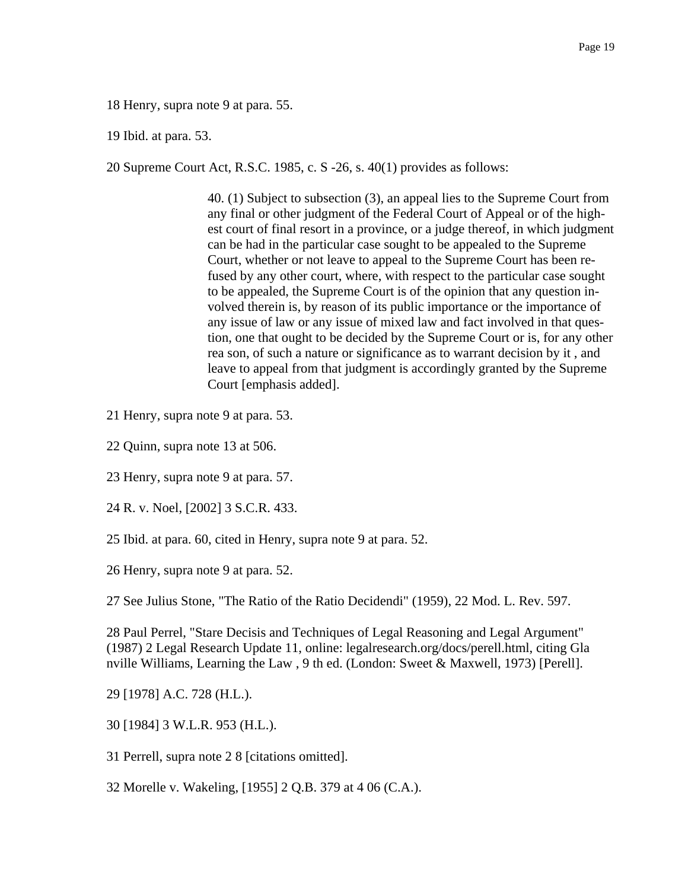18 Henry, supra note 9 at para. 55.

19 Ibid. at para. 53.

20 Supreme Court Act, R.S.C. 1985, c. S -26, s. 40(1) provides as follows:

40. (1) Subject to subsection (3), an appeal lies to the Supreme Court from any final or other judgment of the Federal Court of Appeal or of the highest court of final resort in a province, or a judge thereof, in which judgment can be had in the particular case sought to be appealed to the Supreme Court, whether or not leave to appeal to the Supreme Court has been refused by any other court, where, with respect to the particular case sought to be appealed, the Supreme Court is of the opinion that any question involved therein is, by reason of its public importance or the importance of any issue of law or any issue of mixed law and fact involved in that question, one that ought to be decided by the Supreme Court or is, for any other rea son, of such a nature or significance as to warrant decision by it , and leave to appeal from that judgment is accordingly granted by the Supreme Court [emphasis added].

- 21 Henry, supra note 9 at para. 53.
- 22 Quinn, supra note 13 at 506.
- 23 Henry, supra note 9 at para. 57.
- 24 R. v. Noel, [2002] 3 S.C.R. 433.
- 25 Ibid. at para. 60, cited in Henry, supra note 9 at para. 52.
- 26 Henry, supra note 9 at para. 52.

27 See Julius Stone, "The Ratio of the Ratio Decidendi" (1959), 22 Mod. L. Rev. 597.

28 Paul Perrel, "Stare Decisis and Techniques of Legal Reasoning and Legal Argument" (1987) 2 Legal Research Update 11, online: legalresearch.org/docs/perell.html, citing Gla nville Williams, Learning the Law , 9 th ed. (London: Sweet & Maxwell, 1973) [Perell].

29 [1978] A.C. 728 (H.L.).

30 [1984] 3 W.L.R. 953 (H.L.).

31 Perrell, supra note 2 8 [citations omitted].

32 Morelle v. Wakeling, [1955] 2 Q.B. 379 at 4 06 (C.A.).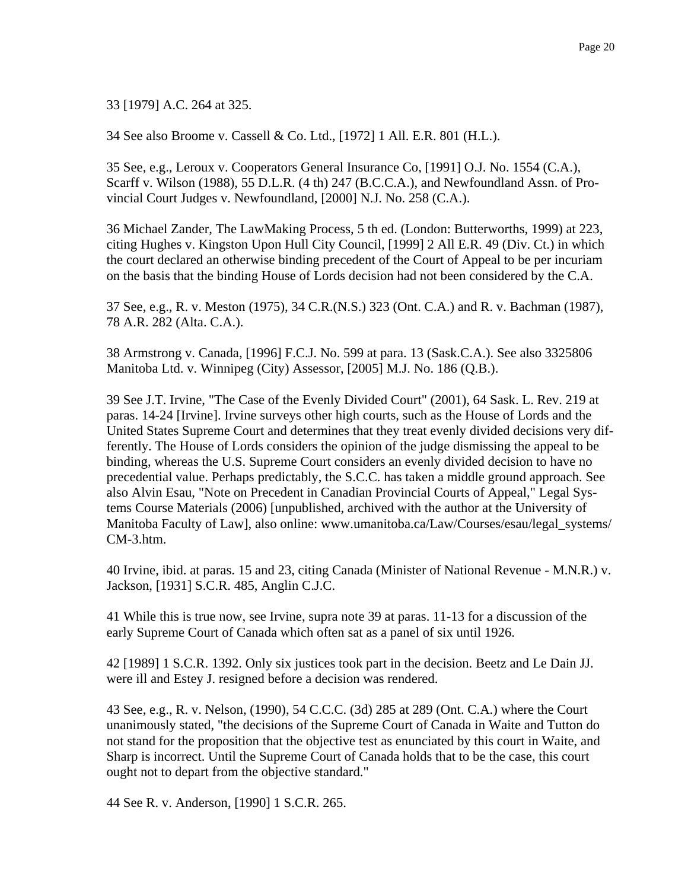33 [1979] A.C. 264 at 325.

34 See also Broome v. Cassell & Co. Ltd., [1972] 1 All. E.R. 801 (H.L.).

35 See, e.g., Leroux v. Cooperators General Insurance Co, [1991] O.J. No. 1554 (C.A.), Scarff v. Wilson (1988), 55 D.L.R. (4 th) 247 (B.C.C.A.), and Newfoundland Assn. of Provincial Court Judges v. Newfoundland, [2000] N.J. No. 258 (C.A.).

36 Michael Zander, The LawMaking Process, 5 th ed. (London: Butterworths, 1999) at 223, citing Hughes v. Kingston Upon Hull City Council, [1999] 2 All E.R. 49 (Div. Ct.) in which the court declared an otherwise binding precedent of the Court of Appeal to be per incuriam on the basis that the binding House of Lords decision had not been considered by the C.A.

37 See, e.g., R. v. Meston (1975), 34 C.R.(N.S.) 323 (Ont. C.A.) and R. v. Bachman (1987), 78 A.R. 282 (Alta. C.A.).

38 Armstrong v. Canada, [1996] F.C.J. No. 599 at para. 13 (Sask.C.A.). See also 3325806 Manitoba Ltd. v. Winnipeg (City) Assessor, [2005] M.J. No. 186 (Q.B.).

39 See J.T. Irvine, "The Case of the Evenly Divided Court" (2001), 64 Sask. L. Rev. 219 at paras. 14-24 [Irvine]. Irvine surveys other high courts, such as the House of Lords and the United States Supreme Court and determines that they treat evenly divided decisions very differently. The House of Lords considers the opinion of the judge dismissing the appeal to be binding, whereas the U.S. Supreme Court considers an evenly divided decision to have no precedential value. Perhaps predictably, the S.C.C. has taken a middle ground approach. See also Alvin Esau, "Note on Precedent in Canadian Provincial Courts of Appeal," Legal Systems Course Materials (2006) [unpublished, archived with the author at the University of Manitoba Faculty of Law], also online: www.umanitoba.ca/Law/Courses/esau/legal\_systems/ CM-3.htm.

40 Irvine, ibid. at paras. 15 and 23, citing Canada (Minister of National Revenue - M.N.R.) v. Jackson, [1931] S.C.R. 485, Anglin C.J.C.

41 While this is true now, see Irvine, supra note 39 at paras. 11-13 for a discussion of the early Supreme Court of Canada which often sat as a panel of six until 1926.

42 [1989] 1 S.C.R. 1392. Only six justices took part in the decision. Beetz and Le Dain JJ. were ill and Estey J. resigned before a decision was rendered.

43 See, e.g., R. v. Nelson, (1990), 54 C.C.C. (3d) 285 at 289 (Ont. C.A.) where the Court unanimously stated, "the decisions of the Supreme Court of Canada in Waite and Tutton do not stand for the proposition that the objective test as enunciated by this court in Waite, and Sharp is incorrect. Until the Supreme Court of Canada holds that to be the case, this court ought not to depart from the objective standard."

44 See R. v. Anderson, [1990] 1 S.C.R. 265.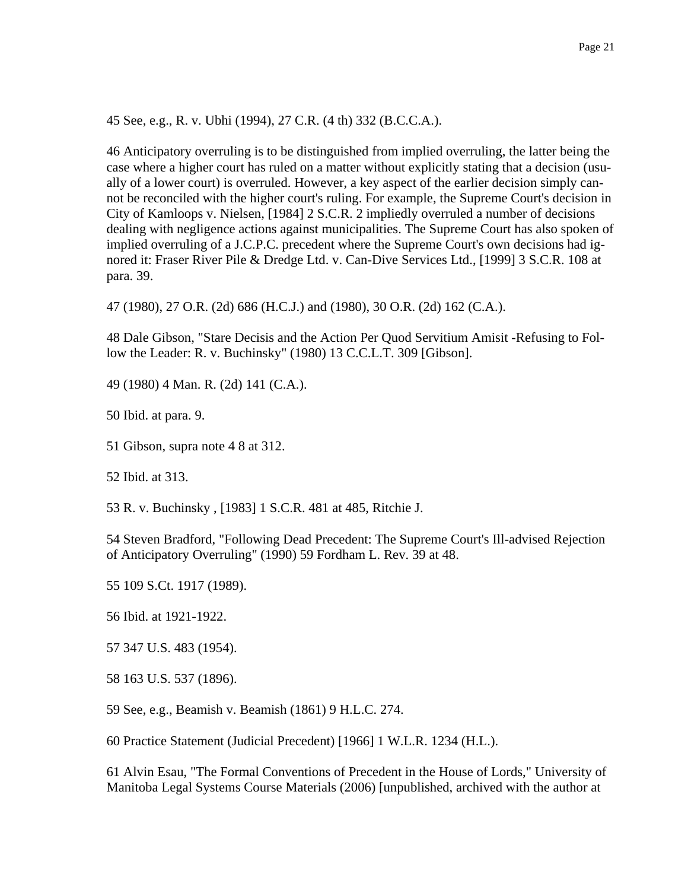45 See, e.g., R. v. Ubhi (1994), 27 C.R. (4 th) 332 (B.C.C.A.).

46 Anticipatory overruling is to be distinguished from implied overruling, the latter being the case where a higher court has ruled on a matter without explicitly stating that a decision (usually of a lower court) is overruled. However, a key aspect of the earlier decision simply cannot be reconciled with the higher court's ruling. For example, the Supreme Court's decision in City of Kamloops v. Nielsen, [1984] 2 S.C.R. 2 impliedly overruled a number of decisions dealing with negligence actions against municipalities. The Supreme Court has also spoken of implied overruling of a J.C.P.C. precedent where the Supreme Court's own decisions had ignored it: Fraser River Pile & Dredge Ltd. v. Can-Dive Services Ltd., [1999] 3 S.C.R. 108 at para. 39.

47 (1980), 27 O.R. (2d) 686 (H.C.J.) and (1980), 30 O.R. (2d) 162 (C.A.).

48 Dale Gibson, "Stare Decisis and the Action Per Quod Servitium Amisit -Refusing to Follow the Leader: R. v. Buchinsky" (1980) 13 C.C.L.T. 309 [Gibson].

49 (1980) 4 Man. R. (2d) 141 (C.A.).

50 Ibid. at para. 9.

51 Gibson, supra note 4 8 at 312.

52 Ibid. at 313.

53 R. v. Buchinsky , [1983] 1 S.C.R. 481 at 485, Ritchie J.

54 Steven Bradford, "Following Dead Precedent: The Supreme Court's Ill-advised Rejection of Anticipatory Overruling" (1990) 59 Fordham L. Rev. 39 at 48.

55 109 S.Ct. 1917 (1989).

56 Ibid. at 1921-1922.

57 347 U.S. 483 (1954).

58 163 U.S. 537 (1896).

59 See, e.g., Beamish v. Beamish (1861) 9 H.L.C. 274.

60 Practice Statement (Judicial Precedent) [1966] 1 W.L.R. 1234 (H.L.).

61 Alvin Esau, "The Formal Conventions of Precedent in the House of Lords," University of Manitoba Legal Systems Course Materials (2006) [unpublished, archived with the author at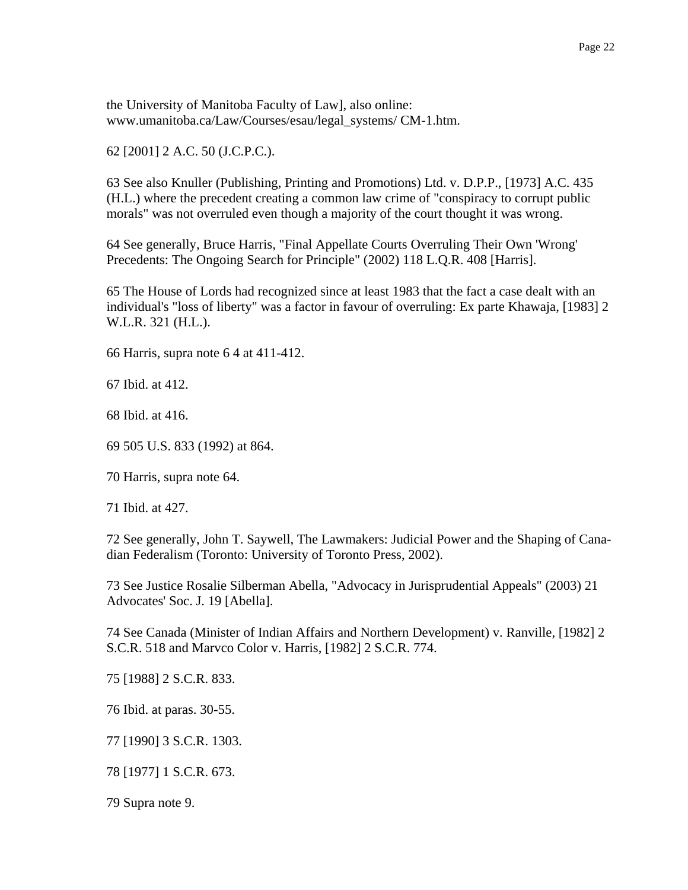the University of Manitoba Faculty of Law], also online: www.umanitoba.ca/Law/Courses/esau/legal\_systems/ CM-1.htm.

62 [2001] 2 A.C. 50 (J.C.P.C.).

63 See also Knuller (Publishing, Printing and Promotions) Ltd. v. D.P.P., [1973] A.C. 435 (H.L.) where the precedent creating a common law crime of "conspiracy to corrupt public morals" was not overruled even though a majority of the court thought it was wrong.

64 See generally, Bruce Harris, "Final Appellate Courts Overruling Their Own 'Wrong' Precedents: The Ongoing Search for Principle" (2002) 118 L.Q.R. 408 [Harris].

65 The House of Lords had recognized since at least 1983 that the fact a case dealt with an individual's "loss of liberty" was a factor in favour of overruling: Ex parte Khawaja, [1983] 2 W.L.R. 321 (H.L.).

66 Harris, supra note 6 4 at 411-412.

67 Ibid. at 412.

68 Ibid. at 416.

69 505 U.S. 833 (1992) at 864.

70 Harris, supra note 64.

71 Ibid. at 427.

72 See generally, John T. Saywell, The Lawmakers: Judicial Power and the Shaping of Canadian Federalism (Toronto: University of Toronto Press, 2002).

73 See Justice Rosalie Silberman Abella, "Advocacy in Jurisprudential Appeals" (2003) 21 Advocates' Soc. J. 19 [Abella].

74 See Canada (Minister of Indian Affairs and Northern Development) v. Ranville, [1982] 2 S.C.R. 518 and Marvco Color v. Harris, [1982] 2 S.C.R. 774.

75 [1988] 2 S.C.R. 833.

76 Ibid. at paras. 30-55.

77 [1990] 3 S.C.R. 1303.

78 [1977] 1 S.C.R. 673.

79 Supra note 9.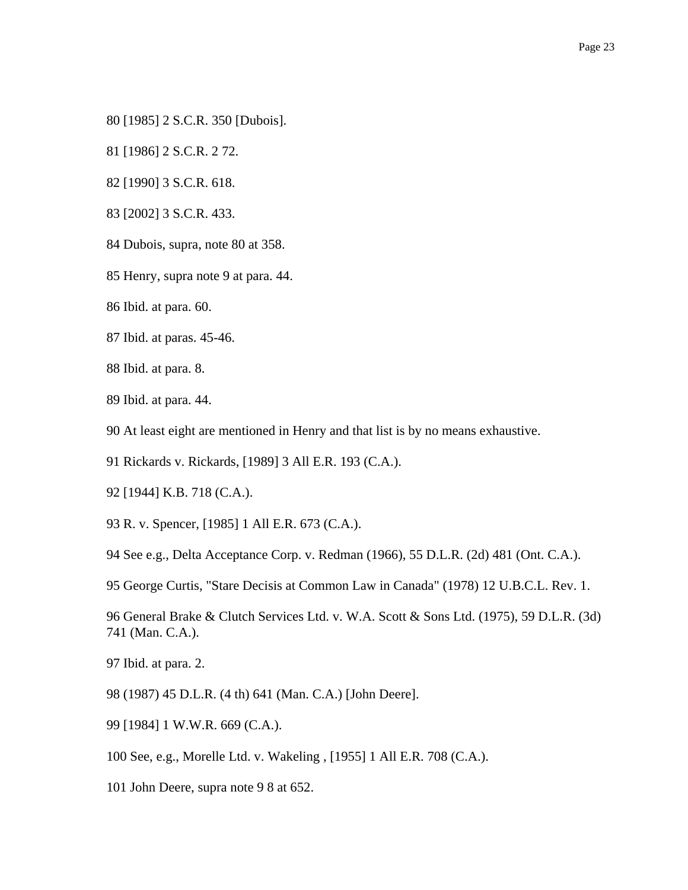- 80 [1985] 2 S.C.R. 350 [Dubois].
- 81 [1986] 2 S.C.R. 2 72.
- 82 [1990] 3 S.C.R. 618.
- 83 [2002] 3 S.C.R. 433.
- 84 Dubois, supra, note 80 at 358.
- 85 Henry, supra note 9 at para. 44.
- 86 Ibid. at para. 60.
- 87 Ibid. at paras. 45-46.
- 88 Ibid. at para. 8.
- 89 Ibid. at para. 44.
- 90 At least eight are mentioned in Henry and that list is by no means exhaustive.
- 91 Rickards v. Rickards, [1989] 3 All E.R. 193 (C.A.).
- 92 [1944] K.B. 718 (C.A.).
- 93 R. v. Spencer, [1985] 1 All E.R. 673 (C.A.).
- 94 See e.g., Delta Acceptance Corp. v. Redman (1966), 55 D.L.R. (2d) 481 (Ont. C.A.).
- 95 George Curtis, "Stare Decisis at Common Law in Canada" (1978) 12 U.B.C.L. Rev. 1.
- 96 General Brake & Clutch Services Ltd. v. W.A. Scott & Sons Ltd. (1975), 59 D.L.R. (3d) 741 (Man. C.A.).
- 97 Ibid. at para. 2.
- 98 (1987) 45 D.L.R. (4 th) 641 (Man. C.A.) [John Deere].
- 99 [1984] 1 W.W.R. 669 (C.A.).
- 100 See, e.g., Morelle Ltd. v. Wakeling , [1955] 1 All E.R. 708 (C.A.).
- 101 John Deere, supra note 9 8 at 652.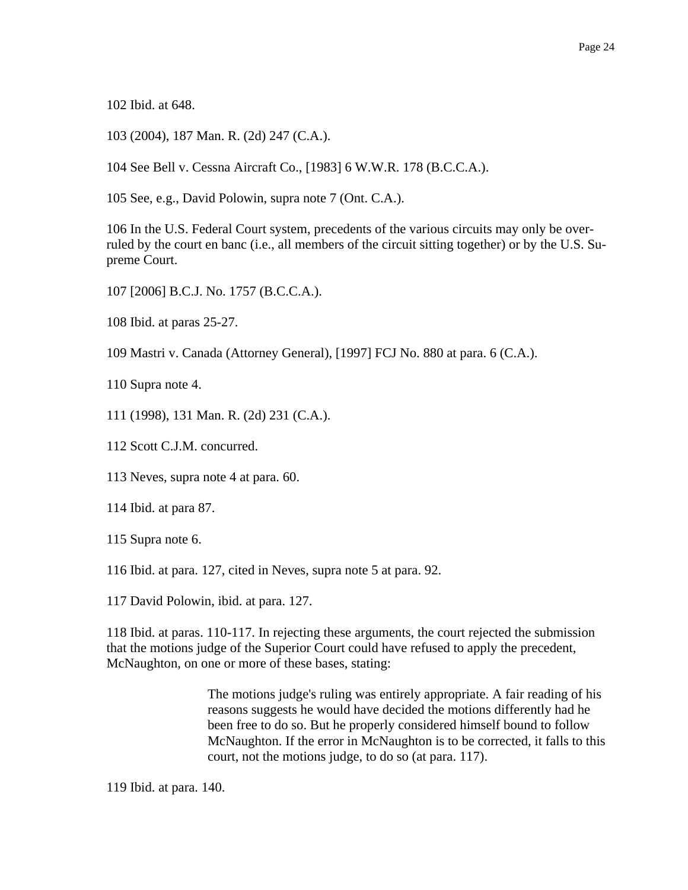102 Ibid. at 648.

103 (2004), 187 Man. R. (2d) 247 (C.A.).

104 See Bell v. Cessna Aircraft Co., [1983] 6 W.W.R. 178 (B.C.C.A.).

105 See, e.g., David Polowin, supra note 7 (Ont. C.A.).

106 In the U.S. Federal Court system, precedents of the various circuits may only be overruled by the court en banc (i.e., all members of the circuit sitting together) or by the U.S. Supreme Court.

107 [2006] B.C.J. No. 1757 (B.C.C.A.).

108 Ibid. at paras 25-27.

109 Mastri v. Canada (Attorney General), [1997] FCJ No. 880 at para. 6 (C.A.).

110 Supra note 4.

111 (1998), 131 Man. R. (2d) 231 (C.A.).

112 Scott C.J.M. concurred.

113 Neves, supra note 4 at para. 60.

114 Ibid. at para 87.

115 Supra note 6.

116 Ibid. at para. 127, cited in Neves, supra note 5 at para. 92.

117 David Polowin, ibid. at para. 127.

118 Ibid. at paras. 110-117. In rejecting these arguments, the court rejected the submission that the motions judge of the Superior Court could have refused to apply the precedent, McNaughton, on one or more of these bases, stating:

> The motions judge's ruling was entirely appropriate. A fair reading of his reasons suggests he would have decided the motions differently had he been free to do so. But he properly considered himself bound to follow McNaughton. If the error in McNaughton is to be corrected, it falls to this court, not the motions judge, to do so (at para. 117).

119 Ibid. at para. 140.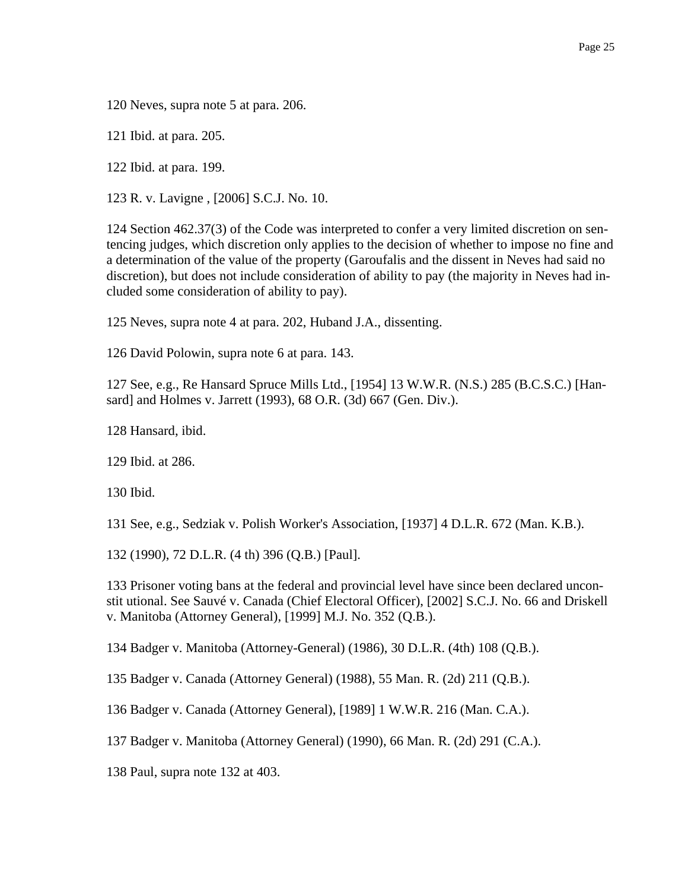120 Neves, supra note 5 at para. 206.

121 Ibid. at para. 205.

122 Ibid. at para. 199.

123 R. v. Lavigne , [2006] S.C.J. No. 10.

124 Section 462.37(3) of the Code was interpreted to confer a very limited discretion on sentencing judges, which discretion only applies to the decision of whether to impose no fine and a determination of the value of the property (Garoufalis and the dissent in Neves had said no discretion), but does not include consideration of ability to pay (the majority in Neves had included some consideration of ability to pay).

125 Neves, supra note 4 at para. 202, Huband J.A., dissenting.

126 David Polowin, supra note 6 at para. 143.

127 See, e.g., Re Hansard Spruce Mills Ltd., [1954] 13 W.W.R. (N.S.) 285 (B.C.S.C.) [Hansard] and Holmes v. Jarrett (1993), 68 O.R. (3d) 667 (Gen. Div.).

128 Hansard, ibid.

129 Ibid. at 286.

130 Ibid.

131 See, e.g., Sedziak v. Polish Worker's Association, [1937] 4 D.L.R. 672 (Man. K.B.).

132 (1990), 72 D.L.R. (4 th) 396 (Q.B.) [Paul].

133 Prisoner voting bans at the federal and provincial level have since been declared unconstit utional. See Sauvé v. Canada (Chief Electoral Officer), [2002] S.C.J. No. 66 and Driskell v. Manitoba (Attorney General), [1999] M.J. No. 352 (Q.B.).

134 Badger v. Manitoba (Attorney-General) (1986), 30 D.L.R. (4th) 108 (Q.B.).

135 Badger v. Canada (Attorney General) (1988), 55 Man. R. (2d) 211 (Q.B.).

136 Badger v. Canada (Attorney General), [1989] 1 W.W.R. 216 (Man. C.A.).

137 Badger v. Manitoba (Attorney General) (1990), 66 Man. R. (2d) 291 (C.A.).

138 Paul, supra note 132 at 403.